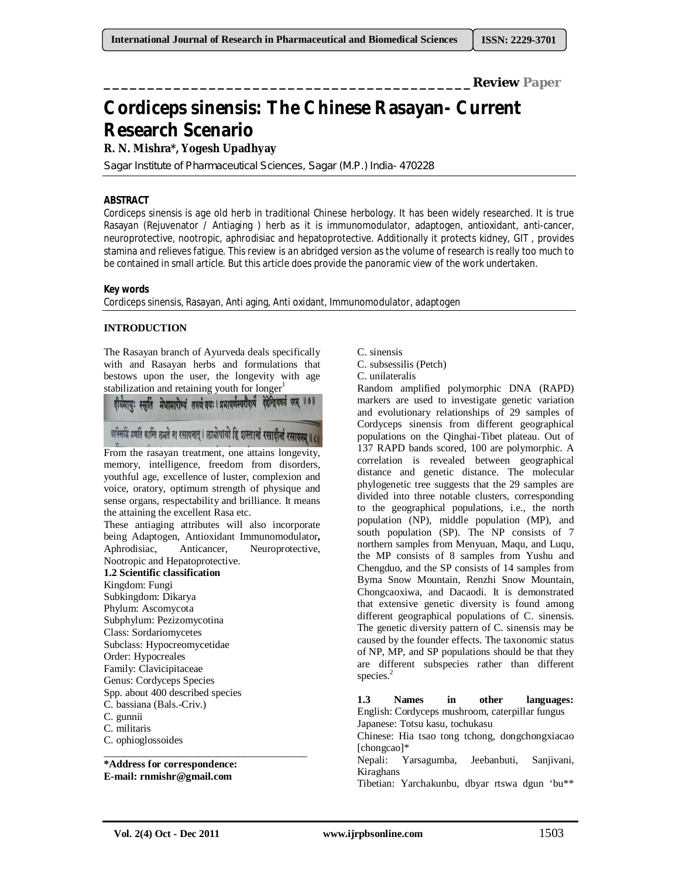**\_\_\_\_\_\_\_\_\_\_\_\_\_\_\_\_\_\_\_\_\_\_\_\_\_\_\_\_\_\_\_\_\_\_\_\_\_\_\_\_\_\_Review Paper**

# **Cordiceps sinensis: The Chinese Rasayan- Current Research Scenario**

# **R. N. Mishra\*, Yogesh Upadhyay**

Sagar Institute of Pharmaceutical Sciences, Sagar (M.P.) India- 470228

# **ABSTRACT**

Cordiceps sinensis is age old herb in traditional Chinese herbology. It has been widely researched. It is true Rasayan (Rejuvenator / Antiaging ) herb as it is immunomodulator, adaptogen, antioxidant, anti-cancer, neuroprotective, nootropic, aphrodisiac and hepatoprotective. Additionally it protects kidney, GIT , provides stamina and relieves fatigue. This review is an abridged version as the volume of research is really too much to be contained in small article. But this article does provide the panoramic view of the work undertaken.

# **Key words**

Cordiceps sinensis, Rasayan, Anti aging, Anti oxidant, Immunomodulator, adaptogen

# **INTRODUCTION**

The Rasayan branch of Ayurveda deals specifically with and Rasayan herbs and formulations that bestows upon the user, the longevity with age stabilization and retaining youth for longer $<sup>1</sup>$ </sup>

दीर्घमायः स्मृति मेधामारोग्यं तरुणं वयः । प्रभावर्णस्वरौदार्यं देहेन्द्रियवलं परम् ॥७॥ वाक्सिडिं प्रणति कान्ति लभते ना रसायनात् । लाभोपायो हि शस्तानां रसादीनां रसायनम् ॥ / ॥

From the rasayan treatment, one attains longevity, memory, intelligence, freedom from disorders, youthful age, excellence of luster, complexion and voice, oratory, optimum strength of physique and sense organs, respectability and brilliance. It means the attaining the excellent Rasa etc.

These antiaging attributes will also incorporate being Adaptogen, Antioxidant Immunomodulator**,**  Aphrodisiac, Anticancer, Neuroprotective, Nootropic and Hepatoprotective.

# **1.2 Scientific classification**

Kingdom: Fungi Subkingdom: Dikarya Phylum: Ascomycota Subphylum: Pezizomycotina Class: Sordariomycetes Subclass: Hypocreomycetidae Order: Hypocreales Family: Clavicipitaceae Genus: Cordyceps Species Spp. about 400 described species C. bassiana (Bals.-Criv.) C. gunnii C. militaris C. ophioglossoides

**\*Address for correspondence: E-mail: rnmishr@gmail.com**

\_\_\_\_\_\_\_\_\_\_\_\_\_\_\_\_\_\_\_\_\_\_\_\_\_\_\_\_\_\_\_\_\_\_\_\_\_\_\_

C. sinensis

C. subsessilis (Petch)

C. unilateralis

Random amplified polymorphic DNA (RAPD) markers are used to investigate genetic variation and evolutionary relationships of 29 samples of Cordyceps sinensis from different geographical populations on the Qinghai-Tibet plateau. Out of 137 RAPD bands scored, 100 are polymorphic. A correlation is revealed between geographical distance and genetic distance. The molecular phylogenetic tree suggests that the 29 samples are divided into three notable clusters, corresponding to the geographical populations, i.e., the north population (NP), middle population (MP), and south population (SP). The NP consists of 7 northern samples from Menyuan, Maqu, and Luqu, the MP consists of 8 samples from Yushu and Chengduo, and the SP consists of 14 samples from Byma Snow Mountain, Renzhi Snow Mountain, Chongcaoxiwa, and Dacaodi. It is demonstrated that extensive genetic diversity is found among different geographical populations of C. sinensis. The genetic diversity pattern of C. sinensis may be caused by the founder effects. The taxonomic status of NP, MP, and SP populations should be that they are different subspecies rather than different species.<sup>2</sup>

**1.3 Names in other languages:** English: Cordyceps mushroom, caterpillar fungus Japanese: Totsu kasu, tochukasu

Chinese: Hia tsao tong tchong, dongchongxiacao [chongcao]\*

Nepali: Yarsagumba, Jeebanbuti, Sanjivani, Kiraghans

Tibetian: Yarchakunbu, dbyar rtswa dgun 'bu\*\*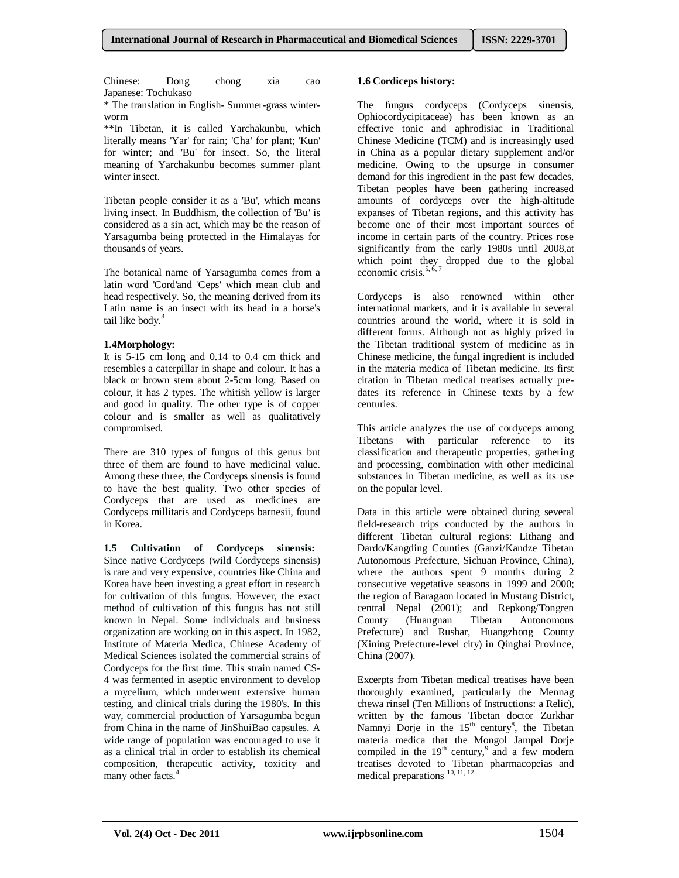Chinese: Dong chong xia cao Japanese: Tochukaso

\* The translation in English- Summer-grass winterworm

\*\*In Tibetan, it is called Yarchakunbu, which literally means 'Yar' for rain; 'Cha' for plant; 'Kun' for winter; and 'Bu' for insect. So, the literal meaning of Yarchakunbu becomes summer plant winter insect.

Tibetan people consider it as a 'Bu', which means living insect. In Buddhism, the collection of 'Bu' is considered as a sin act, which may be the reason of Yarsagumba being protected in the Himalayas for thousands of years.

The botanical name of Yarsagumba comes from a latin word 'Cord'and 'Ceps' which mean club and head respectively. So, the meaning derived from its Latin name is an insect with its head in a horse's tail like body.<sup>3</sup>

#### **1.4Morphology:**

It is 5-15 cm long and 0.14 to 0.4 cm thick and resembles a caterpillar in shape and colour. It has a black or brown stem about 2-5cm long. Based on colour, it has 2 types. The whitish yellow is larger and good in quality. The other type is of copper colour and is smaller as well as qualitatively compromised.

There are 310 types of fungus of this genus but three of them are found to have medicinal value. Among these three, the Cordyceps sinensis is found to have the best quality. Two other species of Cordyceps that are used as medicines are Cordyceps millitaris and Cordyceps barnesii, found in Korea.

**1.5 Cultivation of Cordyceps sinensis:**  Since native Cordyceps (wild Cordyceps sinensis) is rare and very expensive, countries like China and Korea have been investing a great effort in research for cultivation of this fungus. However, the exact method of cultivation of this fungus has not still known in Nepal. Some individuals and business organization are working on in this aspect. In 1982, Institute of Materia Medica, Chinese Academy of Medical Sciences isolated the commercial strains of Cordyceps for the first time. This strain named CS-4 was fermented in aseptic environment to develop a mycelium, which underwent extensive human testing, and clinical trials during the 1980's. In this way, commercial production of Yarsagumba begun from China in the name of JinShuiBao capsules. A wide range of population was encouraged to use it as a clinical trial in order to establish its chemical composition, therapeutic activity, toxicity and many other facts.<sup>4</sup>

#### **1.6 Cordiceps history:**

The fungus cordyceps (Cordyceps sinensis, Ophiocordycipitaceae) has been known as an effective tonic and aphrodisiac in Traditional Chinese Medicine (TCM) and is increasingly used in China as a popular dietary supplement and/or medicine. Owing to the upsurge in consumer demand for this ingredient in the past few decades, Tibetan peoples have been gathering increased amounts of cordyceps over the high-altitude expanses of Tibetan regions, and this activity has become one of their most important sources of income in certain parts of the country. Prices rose significantly from the early 1980s until 2008,at which point they dropped due to the global economic crisis. $5, 6$ 

Cordyceps is also renowned within other international markets, and it is available in several countries around the world, where it is sold in different forms. Although not as highly prized in the Tibetan traditional system of medicine as in Chinese medicine, the fungal ingredient is included in the materia medica of Tibetan medicine. Its first citation in Tibetan medical treatises actually predates its reference in Chinese texts by a few centuries.

This article analyzes the use of cordyceps among Tibetans with particular reference to its classification and therapeutic properties, gathering and processing, combination with other medicinal substances in Tibetan medicine, as well as its use on the popular level.

Data in this article were obtained during several field-research trips conducted by the authors in different Tibetan cultural regions: Lithang and Dardo/Kangding Counties (Ganzi/Kandze Tibetan Autonomous Prefecture, Sichuan Province, China), where the authors spent 9 months during 2 consecutive vegetative seasons in 1999 and 2000; the region of Baragaon located in Mustang District, central Nepal (2001); and Repkong/Tongren County (Huangnan Tibetan Autonomous Prefecture) and Rushar, Huangzhong County (Xining Prefecture-level city) in Qinghai Province, China (2007).

Excerpts from Tibetan medical treatises have been thoroughly examined, particularly the Mennag chewa rinsel (Ten Millions of Instructions: a Relic), written by the famous Tibetan doctor Zurkhar Namnyi Dorje in the  $15<sup>th</sup>$  century<sup>8</sup>, the Tibetan materia medica that the Mongol Jampal Dorje compiled in the  $19<sup>th</sup>$  century, and a few modern treatises devoted to Tibetan pharmacopeias and medical preparations<sup>10, 11, 12</sup>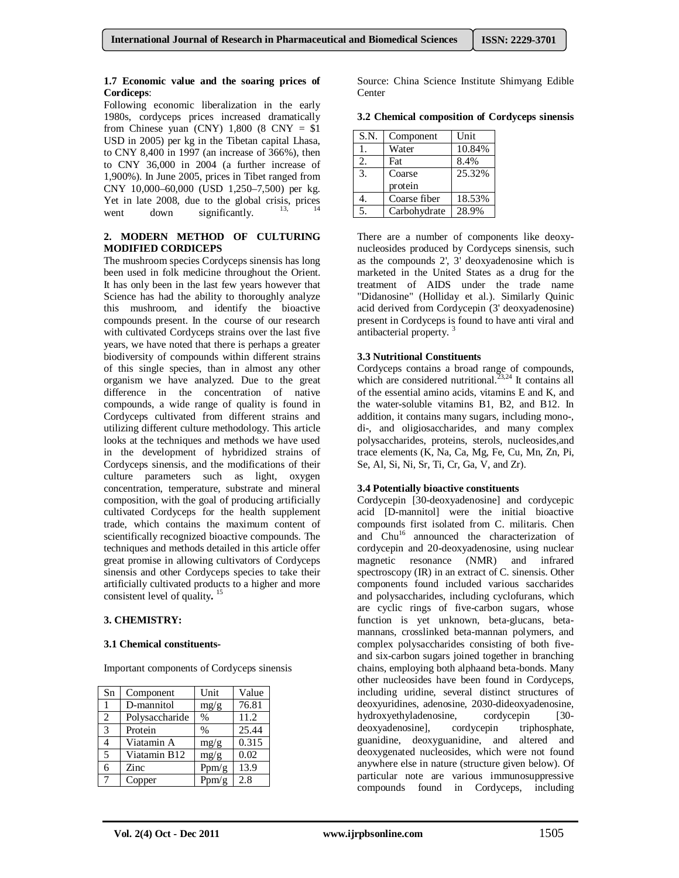#### **1.7 Economic value and the soaring prices of Cordiceps**:

Following economic liberalization in the early 1980s, cordyceps prices increased dramatically from Chinese yuan (CNY)  $1,800$  (8 CNY = \$1) USD in 2005) per kg in the Tibetan capital Lhasa, to CNY 8,400 in 1997 (an increase of 366%), then to CNY 36,000 in 2004 (a further increase of 1,900%). In June 2005, prices in Tibet ranged from CNY 10,000–60,000 (USD 1,250–7,500) per kg. Yet in late 2008, due to the global crisis, prices went down significantly.

#### **2. MODERN METHOD OF CULTURING MODIFIED CORDICEPS**

The mushroom species Cordyceps sinensis has long been used in folk medicine throughout the Orient. It has only been in the last few years however that Science has had the ability to thoroughly analyze this mushroom, and identify the bioactive compounds present. In the course of our research with cultivated Cordyceps strains over the last five years, we have noted that there is perhaps a greater biodiversity of compounds within different strains of this single species, than in almost any other organism we have analyzed. Due to the great difference in the concentration of native compounds, a wide range of quality is found in Cordyceps cultivated from different strains and utilizing different culture methodology. This article looks at the techniques and methods we have used in the development of hybridized strains of Cordyceps sinensis, and the modifications of their culture parameters such as light, oxygen concentration, temperature, substrate and mineral composition, with the goal of producing artificially cultivated Cordyceps for the health supplement trade, which contains the maximum content of scientifically recognized bioactive compounds. The techniques and methods detailed in this article offer great promise in allowing cultivators of Cordyceps sinensis and other Cordyceps species to take their artificially cultivated products to a higher and more consistent level of quality**.**  15

# **3. CHEMISTRY:**

#### **3.1 Chemical constituents-**

Important components of Cordyceps sinensis

| Sn            | Component      | Unit          | Value |
|---------------|----------------|---------------|-------|
| $\mathbf{1}$  | D-mannitol     | mg/g          | 76.81 |
| 2             | Polysaccharide | $\%$          | 11.2  |
| $\mathcal{R}$ | Protein        | $\frac{0}{0}$ | 25.44 |
|               | Viatamin A     | mg/g          | 0.315 |
| 5             | Viatamin B12   | mg/g          | 0.02  |
| 6             | Zinc           | Ppm/g         | 13.9  |
|               | Copper         | Ppm/g         | 2.8   |

Source: China Science Institute Shimyang Edible Center

**3.2 Chemical composition of Cordyceps sinensis**

| S.N.             | Component    | Unit   |
|------------------|--------------|--------|
| 1.               | Water        | 10.84% |
| 2.               | Fat          | 8.4%   |
| 3.               | Coarse       | 25.32% |
|                  | protein      |        |
| 4.               | Coarse fiber | 18.53% |
| $\overline{5}$ . | Carbohydrate | 28.9%  |

There are a number of components like deoxynucleosides produced by Cordyceps sinensis, such as the compounds 2', 3' deoxyadenosine which is marketed in the United States as a drug for the treatment of AIDS under the trade name "Didanosine" (Holliday et al.). Similarly Quinic acid derived from Cordycepin (3' deoxyadenosine) present in Cordyceps is found to have anti viral and antibacterial property. <sup>3</sup>

#### **3.3 Nutritional Constituents**

Cordyceps contains a broad range of compounds, which are considered nutritional.<sup>23,24</sup> It contains all of the essential amino acids, vitamins E and K, and the water-soluble vitamins B1, B2, and B12. In addition, it contains many sugars, including mono-, di-, and oligiosaccharides, and many complex polysaccharides, proteins, sterols, nucleosides,and trace elements (K, Na, Ca, Mg, Fe, Cu, Mn, Zn, Pi, Se, Al, Si, Ni, Sr, Ti, Cr, Ga, V, and Zr).

#### **3.4 Potentially bioactive constituents**

Cordycepin [30-deoxyadenosine] and cordycepic acid [D-mannitol] were the initial bioactive compounds first isolated from C. militaris. Chen and  $\text{Chu}^{16}$  announced the characterization of cordycepin and 20-deoxyadenosine, using nuclear magnetic resonance (NMR) and infrared spectroscopy (IR) in an extract of C. sinensis. Other components found included various saccharides and polysaccharides, including cyclofurans, which are cyclic rings of five-carbon sugars, whose function is yet unknown, beta-glucans, betamannans, crosslinked beta-mannan polymers, and complex polysaccharides consisting of both fiveand six-carbon sugars joined together in branching chains, employing both alphaand beta-bonds. Many other nucleosides have been found in Cordyceps, including uridine, several distinct structures of deoxyuridines, adenosine, 2030-dideoxyadenosine, hydroxyethyladenosine, cordycepin [30deoxyadenosine], cordycepin triphosphate, guanidine, deoxyguanidine, and altered and deoxygenated nucleosides, which were not found anywhere else in nature (structure given below). Of particular note are various immunosuppressive compounds found in Cordyceps, including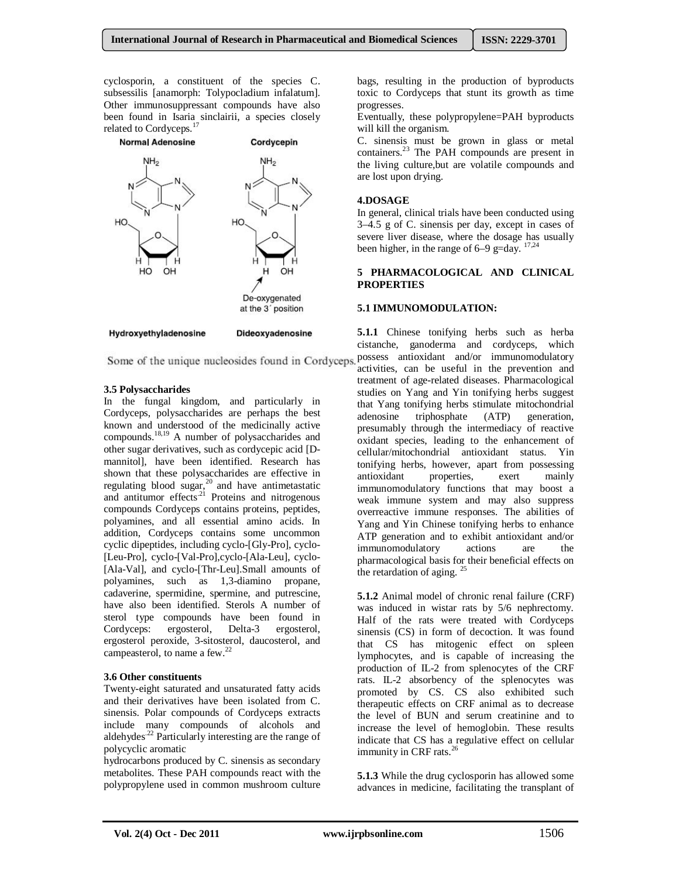cyclosporin, a constituent of the species C. subsessilis [anamorph: Tolypocladium infalatum]. Other immunosuppressant compounds have also been found in Isaria sinclairii, a species closely related to Cordyceps.<sup>17</sup>



#### **3.5 Polysaccharides**

In the fungal kingdom, and particularly in Cordyceps, polysaccharides are perhaps the best known and understood of the medicinally active compounds.18,19 A number of polysaccharides and other sugar derivatives, such as cordycepic acid [Dmannitol], have been identified. Research has shown that these polysaccharides are effective in regulating blood sugar, $^{20}$  and have antimetastatic and antitumor effects<sup>21</sup> Proteins and nitrogenous compounds Cordyceps contains proteins, peptides, polyamines, and all essential amino acids. In addition, Cordyceps contains some uncommon cyclic dipeptides, including cyclo-[Gly-Pro], cyclo- [Leu-Pro], cyclo-[Val-Pro],cyclo-[Ala-Leu], cyclo- [Ala-Val], and cyclo-[Thr-Leu].Small amounts of polyamines, such as 1,3-diamino propane, cadaverine, spermidine, spermine, and putrescine, have also been identified. Sterols A number of sterol type compounds have been found in Cordyceps: ergosterol, Delta-3 ergosterol, ergosterol peroxide, 3-sitosterol, daucosterol, and campeasterol, to name a few.<sup>22</sup>

#### **3.6 Other constituents**

Twenty-eight saturated and unsaturated fatty acids and their derivatives have been isolated from C. sinensis. Polar compounds of Cordyceps extracts include many compounds of alcohols and aldehydes<sup>.22</sup> Particularly interesting are the range of polycyclic aromatic

hydrocarbons produced by C. sinensis as secondary metabolites. These PAH compounds react with the polypropylene used in common mushroom culture

bags, resulting in the production of byproducts toxic to Cordyceps that stunt its growth as time progresses.

Eventually, these polypropylene=PAH byproducts will kill the organism.

C. sinensis must be grown in glass or metal containers.<sup>23</sup> The PAH compounds are present in the living culture,but are volatile compounds and are lost upon drying.

## **4.DOSAGE**

In general, clinical trials have been conducted using 3–4.5 g of C. sinensis per day, except in cases of severe liver disease, where the dosage has usually been higher, in the range of  $6-9$  g=day.  $17,24$ 

#### **5 PHARMACOLOGICAL AND CLINICAL PROPERTIES**

#### **5.1 IMMUNOMODULATION:**

**5.1.1** Chinese tonifying herbs such as herba cistanche, ganoderma and cordyceps, which Some of the unique nucleosides found in Cordyceps. possess antioxidant and/or immunomodulatory activities, can be useful in the prevention and treatment of age-related diseases. Pharmacological studies on Yang and Yin tonifying herbs suggest that Yang tonifying herbs stimulate mitochondrial adenosine triphosphate (ATP) generation, presumably through the intermediacy of reactive oxidant species, leading to the enhancement of cellular/mitochondrial antioxidant status. Yin tonifying herbs, however, apart from possessing antioxidant properties, exert mainly immunomodulatory functions that may boost a weak immune system and may also suppress overreactive immune responses. The abilities of Yang and Yin Chinese tonifying herbs to enhance ATP generation and to exhibit antioxidant and/or<br>immunomodulatory actions are the immunomodulatory actions are the pharmacological basis for their beneficial effects on the retardation of aging.  $^{25}$ 

> **5.1.2** Animal model of chronic renal failure (CRF) was induced in wistar rats by 5/6 nephrectomy. Half of the rats were treated with Cordyceps sinensis (CS) in form of decoction. It was found that CS has mitogenic effect on spleen lymphocytes, and is capable of increasing the production of IL-2 from splenocytes of the CRF rats. IL-2 absorbency of the splenocytes was promoted by CS. CS also exhibited such therapeutic effects on CRF animal as to decrease the level of BUN and serum creatinine and to increase the level of hemoglobin. These results indicate that CS has a regulative effect on cellular immunity in CRF rats. $26$

**5.1.3** While the drug cyclosporin has allowed some advances in medicine, facilitating the transplant of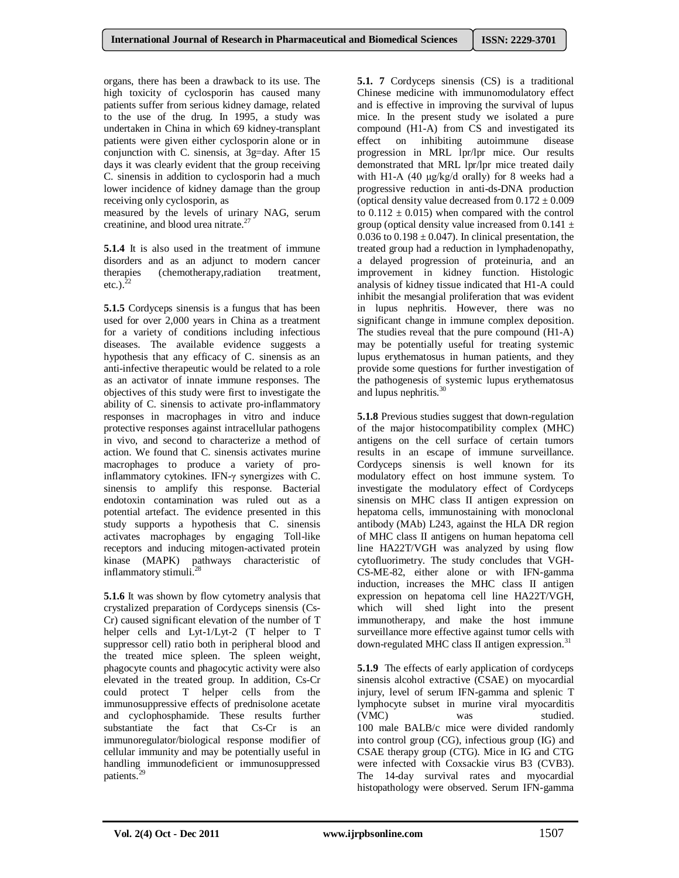organs, there has been a drawback to its use. The high toxicity of cyclosporin has caused many patients suffer from serious kidney damage, related to the use of the drug. In 1995, a study was undertaken in China in which 69 kidney-transplant patients were given either cyclosporin alone or in conjunction with C. sinensis, at 3g=day. After 15 days it was clearly evident that the group receiving C. sinensis in addition to cyclosporin had a much lower incidence of kidney damage than the group receiving only cyclosporin, as

measured by the levels of urinary NAG, serum creatinine, and blood urea nitrate.<sup>27</sup>

**5.1.4** It is also used in the treatment of immune disorders and as an adjunct to modern cancer therapies (chemotherapy,radiation treatment, etc.). $^{22}$ 

**5.1.5** Cordyceps sinensis is a fungus that has been used for over 2,000 years in China as a treatment for a variety of conditions including infectious diseases. The available evidence suggests a hypothesis that any efficacy of C. sinensis as an anti-infective therapeutic would be related to a role as an activator of innate immune responses. The objectives of this study were first to investigate the ability of C. sinensis to activate pro-inflammatory responses in macrophages in vitro and induce protective responses against intracellular pathogens in vivo, and second to characterize a method of action. We found that C. sinensis activates murine macrophages to produce a variety of proinflammatory cytokines. IFN-γ synergizes with C. sinensis to amplify this response. Bacterial endotoxin contamination was ruled out as a potential artefact. The evidence presented in this study supports a hypothesis that C. sinensis activates macrophages by engaging Toll-like receptors and inducing mitogen-activated protein kinase (MAPK) pathways characteristic of inflammatory stimuli.<sup>28</sup>

**5.1.6** It was shown by flow cytometry analysis that crystalized preparation of Cordyceps sinensis (Cs-Cr) caused significant elevation of the number of T helper cells and Lyt-1/Lyt-2 (T helper to T suppressor cell) ratio both in peripheral blood and the treated mice spleen. The spleen weight, phagocyte counts and phagocytic activity were also elevated in the treated group. In addition, Cs-Cr could protect T helper cells from the immunosuppressive effects of prednisolone acetate and cyclophosphamide. These results further substantiate the fact that Cs-Cr is an immunoregulator/biological response modifier of cellular immunity and may be potentially useful in handling immunodeficient or immunosuppressed patients.<sup>29</sup>

**5.1. 7** Cordyceps sinensis (CS) is a traditional Chinese medicine with immunomodulatory effect and is effective in improving the survival of lupus mice. In the present study we isolated a pure compound (H1-A) from CS and investigated its effect on inhibiting autoimmune disease progression in MRL lpr/lpr mice. Our results demonstrated that MRL lpr/lpr mice treated daily with H1-A (40 μg/kg/d orally) for 8 weeks had a progressive reduction in anti-ds-DNA production (optical density value decreased from  $0.172 \pm 0.009$ ) to  $0.112 \pm 0.015$ ) when compared with the control group (optical density value increased from  $0.141 \pm$ 0.036 to 0.198  $\pm$  0.047). In clinical presentation, the treated group had a reduction in lymphadenopathy, a delayed progression of proteinuria, and an improvement in kidney function. Histologic analysis of kidney tissue indicated that H1-A could inhibit the mesangial proliferation that was evident in lupus nephritis. However, there was no significant change in immune complex deposition. The studies reveal that the pure compound (H1-A) may be potentially useful for treating systemic lupus erythematosus in human patients, and they provide some questions for further investigation of the pathogenesis of systemic lupus erythematosus and lupus nephritis.<sup>30</sup>

**5.1.8** Previous studies suggest that down-regulation of the major histocompatibility complex (MHC) antigens on the cell surface of certain tumors results in an escape of immune surveillance. Cordyceps sinensis is well known for its modulatory effect on host immune system. To investigate the modulatory effect of Cordyceps sinensis on MHC class II antigen expression on hepatoma cells, immunostaining with monoclonal antibody (MAb) L243, against the HLA DR region of MHC class II antigens on human hepatoma cell line HA22T/VGH was analyzed by using flow cytofluorimetry. The study concludes that VGH-CS-ME-82, either alone or with IFN-gamma induction, increases the MHC class II antigen expression on hepatoma cell line HA22T/VGH, which will shed light into the present immunotherapy, and make the host immune surveillance more effective against tumor cells with down-regulated MHC class II antigen expression.<sup>31</sup>

**5.1.9** The effects of early application of cordyceps sinensis alcohol extractive (CSAE) on myocardial injury, level of serum IFN-gamma and splenic T lymphocyte subset in murine viral myocarditis (VMC) was studied. 100 male BALB/c mice were divided randomly into control group (CG), infectious group (IG) and CSAE therapy group (CTG). Mice in IG and CTG were infected with Coxsackie virus B3 (CVB3). The 14-day survival rates and myocardial histopathology were observed. Serum IFN-gamma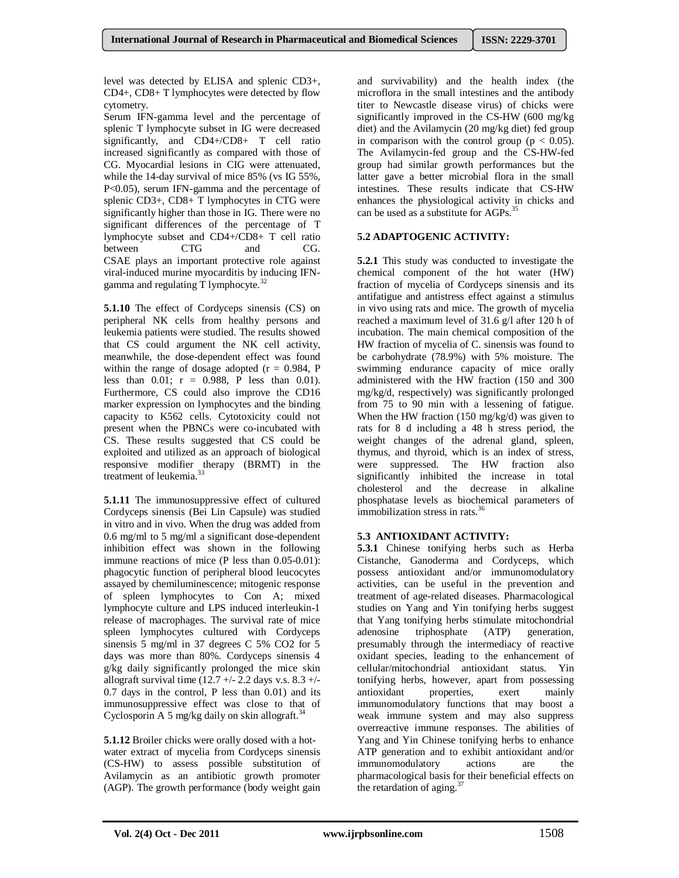level was detected by ELISA and splenic CD3+, CD4+, CD8+ T lymphocytes were detected by flow cytometry.

Serum IFN-gamma level and the percentage of splenic T lymphocyte subset in IG were decreased significantly, and CD4+/CD8+ T cell ratio increased significantly as compared with those of CG. Myocardial lesions in CIG were attenuated, while the 14-day survival of mice 85% (vs IG 55%, P<0.05), serum IFN-gamma and the percentage of splenic CD3+, CD8+ T lymphocytes in CTG were significantly higher than those in IG. There were no significant differences of the percentage of T lymphocyte subset and CD4+/CD8+ T cell ratio between CTG and CG. CSAE plays an important protective role against viral-induced murine myocarditis by inducing IFNgamma and regulating  $T$  lymphocyte.<sup>32</sup>

**5.1.10** The effect of Cordyceps sinensis (CS) on peripheral NK cells from healthy persons and leukemia patients were studied. The results showed that CS could argument the NK cell activity, meanwhile, the dose-dependent effect was found within the range of dosage adopted  $(r = 0.984, P)$ less than  $0.01$ ;  $r = 0.988$ , P less than 0.01). Furthermore, CS could also improve the CD16 marker expression on lymphocytes and the binding capacity to K562 cells. Cytotoxicity could not present when the PBNCs were co-incubated with CS. These results suggested that CS could be exploited and utilized as an approach of biological responsive modifier therapy (BRMT) in the treatment of leukemia.<sup>3</sup>

**5.1.11** The immunosuppressive effect of cultured Cordyceps sinensis (Bei Lin Capsule) was studied in vitro and in vivo. When the drug was added from 0.6 mg/ml to 5 mg/ml a significant dose-dependent inhibition effect was shown in the following immune reactions of mice (P less than 0.05-0.01): phagocytic function of peripheral blood leucocytes assayed by chemiluminescence; mitogenic response of spleen lymphocytes to Con A; mixed lymphocyte culture and LPS induced interleukin-1 release of macrophages. The survival rate of mice spleen lymphocytes cultured with Cordyceps sinensis 5 mg/ml in 37 degrees C 5% CO2 for 5 days was more than 80%. Cordyceps sinensis 4 g/kg daily significantly prolonged the mice skin allograft survival time  $(12.7 + 2.2$  days v.s.  $8.3 +$ 0.7 days in the control, P less than 0.01) and its immunosuppressive effect was close to that of Cyclosporin A 5 mg/kg daily on skin allograft.<sup>34</sup>

**5.1.12** Broiler chicks were orally dosed with a hotwater extract of mycelia from Cordyceps sinensis (CS-HW) to assess possible substitution of Avilamycin as an antibiotic growth promoter (AGP). The growth performance (body weight gain and survivability) and the health index (the microflora in the small intestines and the antibody titer to Newcastle disease virus) of chicks were significantly improved in the CS-HW (600 mg/kg diet) and the Avilamycin (20 mg/kg diet) fed group in comparison with the control group ( $p < 0.05$ ). The Avilamycin-fed group and the CS-HW-fed group had similar growth performances but the latter gave a better microbial flora in the small intestines. These results indicate that CS-HW enhances the physiological activity in chicks and can be used as a substitute for AGPs.<sup>35</sup>

# **5.2 ADAPTOGENIC ACTIVITY:**

**5.2.1** This study was conducted to investigate the chemical component of the hot water (HW) fraction of mycelia of Cordyceps sinensis and its antifatigue and antistress effect against a stimulus in vivo using rats and mice. The growth of mycelia reached a maximum level of 31.6 g/l after 120 h of incubation. The main chemical composition of the HW fraction of mycelia of C. sinensis was found to be carbohydrate (78.9%) with 5% moisture. The swimming endurance capacity of mice orally administered with the HW fraction (150 and 300 mg/kg/d, respectively) was significantly prolonged from 75 to 90 min with a lessening of fatigue. When the HW fraction (150 mg/kg/d) was given to rats for 8 d including a 48 h stress period, the weight changes of the adrenal gland, spleen, thymus, and thyroid, which is an index of stress, were suppressed. The HW fraction also significantly inhibited the increase in total cholesterol and the decrease in alkaline phosphatase levels as biochemical parameters of immobilization stress in rats. $36$ 

# **5.3 ANTIOXIDANT ACTIVITY:**

**5.3.1** Chinese tonifying herbs such as Herba Cistanche, Ganoderma and Cordyceps, which possess antioxidant and/or immunomodulatory activities, can be useful in the prevention and treatment of age-related diseases. Pharmacological studies on Yang and Yin tonifying herbs suggest that Yang tonifying herbs stimulate mitochondrial adenosine triphosphate (ATP) generation, presumably through the intermediacy of reactive oxidant species, leading to the enhancement of cellular/mitochondrial antioxidant status. Yin tonifying herbs, however, apart from possessing<br>antioxidant properties, exert mainly properties, exert mainly immunomodulatory functions that may boost a weak immune system and may also suppress overreactive immune responses. The abilities of Yang and Yin Chinese tonifying herbs to enhance ATP generation and to exhibit antioxidant and/or immunomodulatory actions are the pharmacological basis for their beneficial effects on the retardation of aging. $37$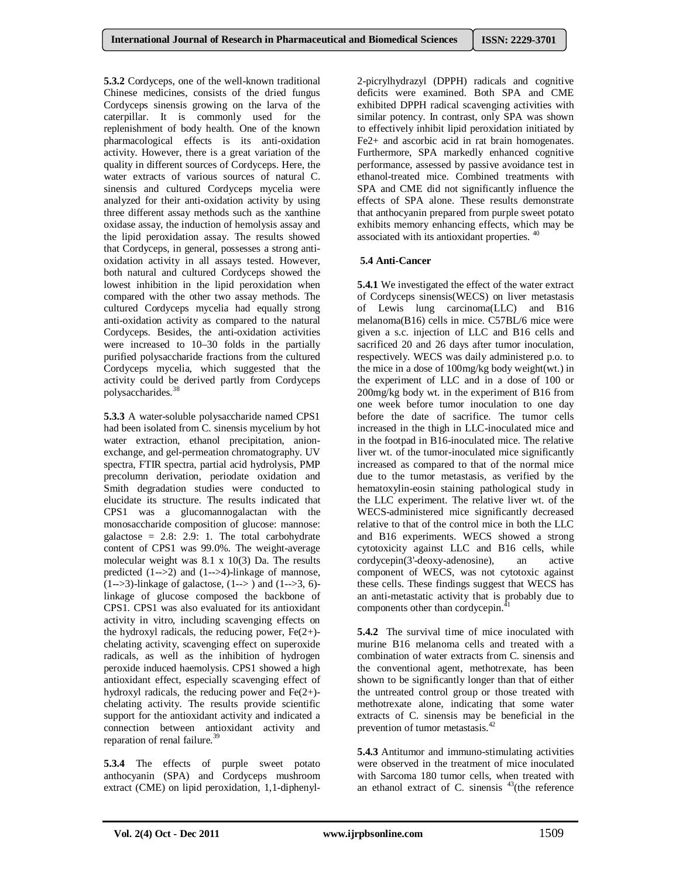**5.3.2** Cordyceps, one of the well-known traditional Chinese medicines, consists of the dried fungus Cordyceps sinensis growing on the larva of the caterpillar. It is commonly used for the replenishment of body health. One of the known pharmacological effects is its anti-oxidation activity. However, there is a great variation of the quality in different sources of Cordyceps. Here, the water extracts of various sources of natural C. sinensis and cultured Cordyceps mycelia were analyzed for their anti-oxidation activity by using three different assay methods such as the xanthine oxidase assay, the induction of hemolysis assay and the lipid peroxidation assay. The results showed that Cordyceps, in general, possesses a strong antioxidation activity in all assays tested. However, both natural and cultured Cordyceps showed the lowest inhibition in the lipid peroxidation when compared with the other two assay methods. The cultured Cordyceps mycelia had equally strong anti-oxidation activity as compared to the natural Cordyceps. Besides, the anti-oxidation activities were increased to 10–30 folds in the partially purified polysaccharide fractions from the cultured Cordyceps mycelia, which suggested that the activity could be derived partly from Cordyceps polysaccharides.<sup>38</sup>

**5.3.3** A water-soluble polysaccharide named CPS1 had been isolated from C. sinensis mycelium by hot water extraction, ethanol precipitation, anionexchange, and gel-permeation chromatography. UV spectra, FTIR spectra, partial acid hydrolysis, PMP precolumn derivation, periodate oxidation and Smith degradation studies were conducted to elucidate its structure. The results indicated that CPS1 was a glucomannogalactan with the monosaccharide composition of glucose: mannose: galactose =  $2.8: 2.9: 1$ . The total carbohydrate content of CPS1 was 99.0%. The weight-average molecular weight was 8.1 x 10(3) Da. The results predicted (1-->2) and (1-->4)-linkage of mannose,  $(1--3)$ -linkage of galactose,  $(1--)$  and  $(1--3, 6)$ linkage of glucose composed the backbone of CPS1. CPS1 was also evaluated for its antioxidant activity in vitro, including scavenging effects on the hydroxyl radicals, the reducing power,  $Fe(2+)$ chelating activity, scavenging effect on superoxide radicals, as well as the inhibition of hydrogen peroxide induced haemolysis. CPS1 showed a high antioxidant effect, especially scavenging effect of hydroxyl radicals, the reducing power and  $Fe(2+)$ chelating activity. The results provide scientific support for the antioxidant activity and indicated a connection between antioxidant activity and reparation of renal failure.<sup>39</sup>

**5.3.4** The effects of purple sweet potato anthocyanin (SPA) and Cordyceps mushroom extract (CME) on lipid peroxidation, 1,1-diphenyl2-picrylhydrazyl (DPPH) radicals and cognitive deficits were examined. Both SPA and CME exhibited DPPH radical scavenging activities with similar potency. In contrast, only SPA was shown to effectively inhibit lipid peroxidation initiated by Fe2+ and ascorbic acid in rat brain homogenates. Furthermore, SPA markedly enhanced cognitive performance, assessed by passive avoidance test in ethanol-treated mice. Combined treatments with SPA and CME did not significantly influence the effects of SPA alone. These results demonstrate that anthocyanin prepared from purple sweet potato exhibits memory enhancing effects, which may be associated with its antioxidant properties. <sup>40</sup>

#### **5.4 Anti-Cancer**

**5.4.1** We investigated the effect of the water extract of Cordyceps sinensis(WECS) on liver metastasis of Lewis lung carcinoma(LLC) and B16 melanoma(B16) cells in mice. C57BL/6 mice were given a s.c. injection of LLC and B16 cells and sacrificed 20 and 26 days after tumor inoculation, respectively. WECS was daily administered p.o. to the mice in a dose of 100mg/kg body weight(wt.) in the experiment of LLC and in a dose of 100 or 200mg/kg body wt. in the experiment of B16 from one week before tumor inoculation to one day before the date of sacrifice. The tumor cells increased in the thigh in LLC-inoculated mice and in the footpad in B16-inoculated mice. The relative liver wt. of the tumor-inoculated mice significantly increased as compared to that of the normal mice due to the tumor metastasis, as verified by the hematoxylin-eosin staining pathological study in the LLC experiment. The relative liver wt. of the WECS-administered mice significantly decreased relative to that of the control mice in both the LLC and B16 experiments. WECS showed a strong cytotoxicity against LLC and B16 cells, while cordycepin(3'-deoxy-adenosine), an active component of WECS, was not cytotoxic against these cells. These findings suggest that WECS has an anti-metastatic activity that is probably due to components other than cordycepin.<sup>41</sup>

**5.4.2** The survival time of mice inoculated with murine B16 melanoma cells and treated with a combination of water extracts from C. sinensis and the conventional agent, methotrexate, has been shown to be significantly longer than that of either the untreated control group or those treated with methotrexate alone, indicating that some water extracts of C. sinensis may be beneficial in the prevention of tumor metastasis.<sup>42</sup>

**5.4.3** Antitumor and immuno-stimulating activities were observed in the treatment of mice inoculated with Sarcoma 180 tumor cells, when treated with an ethanol extract of C. sinensis  $43$ (the reference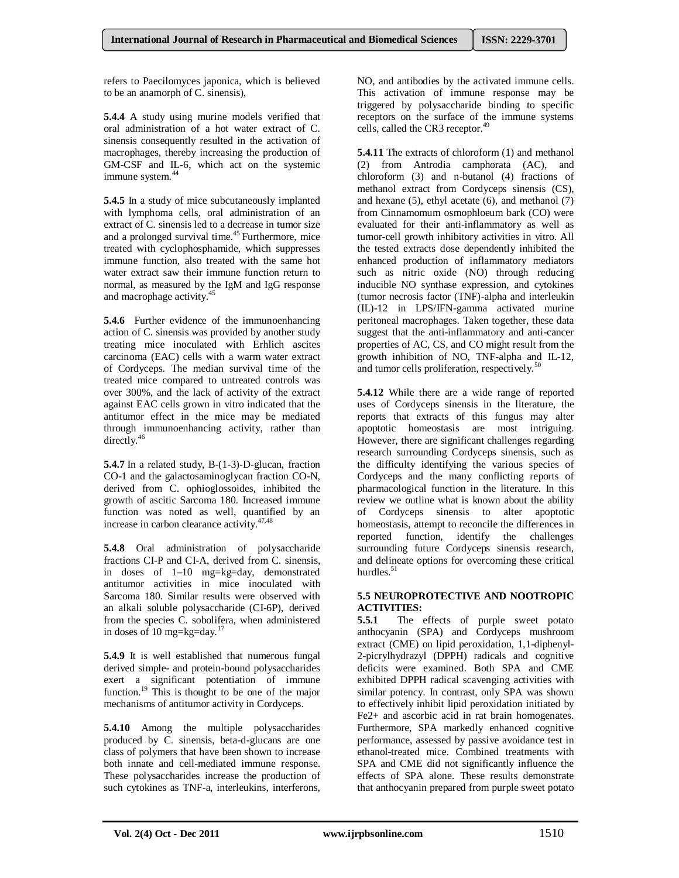refers to Paecilomyces japonica, which is believed to be an anamorph of C. sinensis),

**5.4.4** A study using murine models verified that oral administration of a hot water extract of C. sinensis consequently resulted in the activation of macrophages, thereby increasing the production of GM-CSF and IL-6, which act on the systemic immune system.<sup>44</sup>

**5.4.5** In a study of mice subcutaneously implanted with lymphoma cells, oral administration of an extract of C. sinensis led to a decrease in tumor size and a prolonged survival time.<sup>45</sup> Furthermore, mice treated with cyclophosphamide, which suppresses immune function, also treated with the same hot water extract saw their immune function return to normal, as measured by the IgM and IgG response and macrophage activity.<sup>45</sup>

**5.4.6** Further evidence of the immunoenhancing action of C. sinensis was provided by another study treating mice inoculated with Erhlich ascites carcinoma (EAC) cells with a warm water extract of Cordyceps. The median survival time of the treated mice compared to untreated controls was over 300%, and the lack of activity of the extract against EAC cells grown in vitro indicated that the antitumor effect in the mice may be mediated through immunoenhancing activity, rather than directly.<sup>46</sup>

**5.4.7** In a related study, B-(1-3)-D-glucan, fraction CO-1 and the galactosaminoglycan fraction CO-N, derived from C. ophioglossoides, inhibited the growth of ascitic Sarcoma 180. Increased immune function was noted as well, quantified by an increase in carbon clearance activity.<sup>47,48</sup>

**5.4.8** Oral administration of polysaccharide fractions CI-P and CI-A, derived from C. sinensis, in doses of 1–10 mg=kg=day, demonstrated antitumor activities in mice inoculated with Sarcoma 180. Similar results were observed with an alkali soluble polysaccharide (CI-6P), derived from the species C. sobolifera, when administered in doses of 10 mg=kg=day.<sup>17</sup>

**5.4.9** It is well established that numerous fungal derived simple- and protein-bound polysaccharides exert a significant potentiation of immune function. $^{19}$  This is thought to be one of the major mechanisms of antitumor activity in Cordyceps.

**5.4.10** Among the multiple polysaccharides produced by C. sinensis, beta-d-glucans are one class of polymers that have been shown to increase both innate and cell-mediated immune response. These polysaccharides increase the production of such cytokines as TNF-a, interleukins, interferons,

NO, and antibodies by the activated immune cells. This activation of immune response may be triggered by polysaccharide binding to specific receptors on the surface of the immune systems cells, called the CR3 receptor.<sup>49</sup>

**5.4.11** The extracts of chloroform (1) and methanol (2) from Antrodia camphorata (AC), and chloroform (3) and n-butanol (4) fractions of methanol extract from Cordyceps sinensis (CS), and hexane  $(5)$ , ethyl acetate  $(6)$ , and methanol  $(7)$ from Cinnamomum osmophloeum bark (CO) were evaluated for their anti-inflammatory as well as tumor-cell growth inhibitory activities in vitro. All the tested extracts dose dependently inhibited the enhanced production of inflammatory mediators such as nitric oxide (NO) through reducing inducible NO synthase expression, and cytokines (tumor necrosis factor (TNF)-alpha and interleukin (IL)-12 in LPS/IFN-gamma activated murine peritoneal macrophages. Taken together, these data suggest that the anti-inflammatory and anti-cancer properties of AC, CS, and CO might result from the growth inhibition of NO, TNF-alpha and IL-12, and tumor cells proliferation, respectively.<sup>50</sup>

**5.4.12** While there are a wide range of reported uses of Cordyceps sinensis in the literature, the reports that extracts of this fungus may alter apoptotic homeostasis are most intriguing. However, there are significant challenges regarding research surrounding Cordyceps sinensis, such as the difficulty identifying the various species of Cordyceps and the many conflicting reports of pharmacological function in the literature. In this review we outline what is known about the ability of Cordyceps sinensis to alter apoptotic homeostasis, attempt to reconcile the differences in reported function, identify the challenges surrounding future Cordyceps sinensis research, and delineate options for overcoming these critical hurdles.<sup>51</sup>

#### **5.5 NEUROPROTECTIVE AND NOOTROPIC ACTIVITIES:**

**5.5.1** The effects of purple sweet potato anthocyanin (SPA) and Cordyceps mushroom extract (CME) on lipid peroxidation, 1,1-diphenyl-2-picrylhydrazyl (DPPH) radicals and cognitive deficits were examined. Both SPA and CME exhibited DPPH radical scavenging activities with similar potency. In contrast, only SPA was shown to effectively inhibit lipid peroxidation initiated by Fe2+ and ascorbic acid in rat brain homogenates. Furthermore, SPA markedly enhanced cognitive performance, assessed by passive avoidance test in ethanol-treated mice. Combined treatments with SPA and CME did not significantly influence the effects of SPA alone. These results demonstrate that anthocyanin prepared from purple sweet potato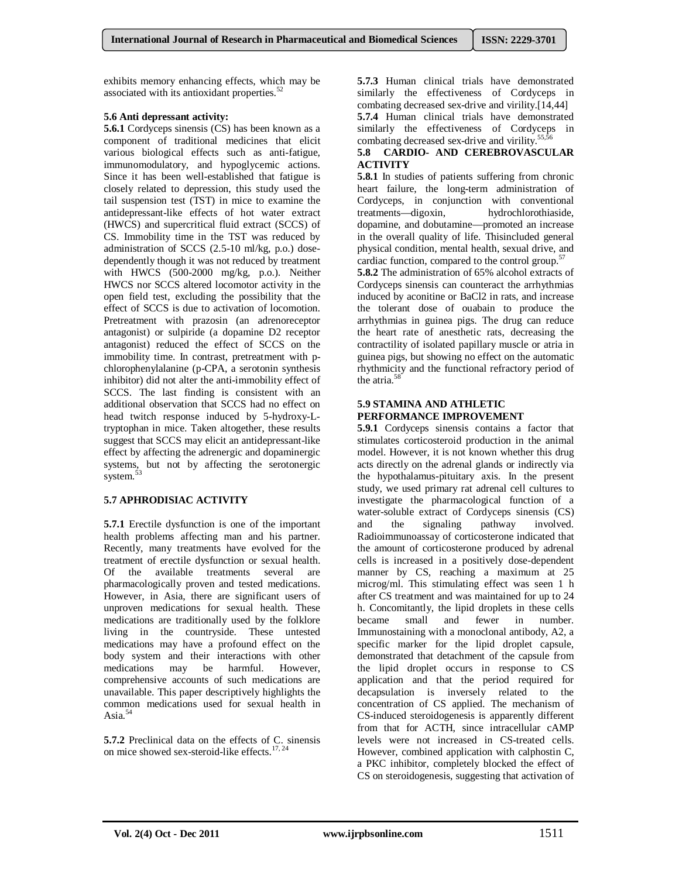exhibits memory enhancing effects, which may be associated with its antioxidant properties.<sup>52</sup>

## **5.6 Anti depressant activity:**

**5.6.1** Cordyceps sinensis (CS) has been known as a component of traditional medicines that elicit various biological effects such as anti-fatigue, immunomodulatory, and hypoglycemic actions. Since it has been well-established that fatigue is closely related to depression, this study used the tail suspension test (TST) in mice to examine the antidepressant-like effects of hot water extract (HWCS) and supercritical fluid extract (SCCS) of CS. Immobility time in the TST was reduced by administration of SCCS (2.5-10 ml/kg, p.o.) dosedependently though it was not reduced by treatment with HWCS (500-2000 mg/kg, p.o.). Neither HWCS nor SCCS altered locomotor activity in the open field test, excluding the possibility that the effect of SCCS is due to activation of locomotion. Pretreatment with prazosin (an adrenoreceptor antagonist) or sulpiride (a dopamine D2 receptor antagonist) reduced the effect of SCCS on the immobility time. In contrast, pretreatment with pchlorophenylalanine (p-CPA, a serotonin synthesis inhibitor) did not alter the anti-immobility effect of SCCS. The last finding is consistent with an additional observation that SCCS had no effect on head twitch response induced by 5-hydroxy-Ltryptophan in mice. Taken altogether, these results suggest that SCCS may elicit an antidepressant-like effect by affecting the adrenergic and dopaminergic systems, but not by affecting the serotonergic system.<sup>5</sup>

# **5.7 APHRODISIAC ACTIVITY**

**5.7.1** Erectile dysfunction is one of the important health problems affecting man and his partner. Recently, many treatments have evolved for the treatment of erectile dysfunction or sexual health. Of the available treatments several are pharmacologically proven and tested medications. However, in Asia, there are significant users of unproven medications for sexual health. These medications are traditionally used by the folklore living in the countryside. These untested medications may have a profound effect on the body system and their interactions with other medications may be harmful. However, comprehensive accounts of such medications are unavailable. This paper descriptively highlights the common medications used for sexual health in Asia. $54$ 

**5.7.2** Preclinical data on the effects of C. sinensis on mice showed sex-steroid-like effects.<sup>17, 24</sup>

**5.7.3** Human clinical trials have demonstrated similarly the effectiveness of Cordyceps in combating decreased sex-drive and virility.[14,44] **5.7.4** Human clinical trials have demonstrated similarly the effectiveness of Cordyceps in combating decreased sex-drive and virility.<sup>55,56</sup>

#### **5.8 CARDIO- AND CEREBROVASCULAR ACTIVITY**

**5.8.1** In studies of patients suffering from chronic heart failure, the long-term administration of Cordyceps, in conjunction with conventional treatments—digoxin, hydrochlorothiaside, dopamine, and dobutamine—promoted an increase in the overall quality of life. Thisincluded general physical condition, mental health, sexual drive, and cardiac function, compared to the control group. $57$ 

**5.8.2** The administration of 65% alcohol extracts of Cordyceps sinensis can counteract the arrhythmias induced by aconitine or BaCl2 in rats, and increase the tolerant dose of ouabain to produce the arrhythmias in guinea pigs. The drug can reduce the heart rate of anesthetic rats, decreasing the contractility of isolated papillary muscle or atria in guinea pigs, but showing no effect on the automatic rhythmicity and the functional refractory period of the atria.<sup>58</sup>

#### **5.9 STAMINA AND ATHLETIC PERFORMANCE IMPROVEMENT**

**5.9.1** Cordyceps sinensis contains a factor that stimulates corticosteroid production in the animal model. However, it is not known whether this drug acts directly on the adrenal glands or indirectly via the hypothalamus-pituitary axis. In the present study, we used primary rat adrenal cell cultures to investigate the pharmacological function of a water-soluble extract of Cordyceps sinensis (CS) and the signaling pathway involved. Radioimmunoassay of corticosterone indicated that the amount of corticosterone produced by adrenal cells is increased in a positively dose-dependent manner by CS, reaching a maximum at 25 microg/ml. This stimulating effect was seen 1 h after CS treatment and was maintained for up to 24 h. Concomitantly, the lipid droplets in these cells became small and fewer in number. Immunostaining with a monoclonal antibody, A2, a specific marker for the lipid droplet capsule, demonstrated that detachment of the capsule from the lipid droplet occurs in response to CS application and that the period required for decapsulation is inversely related to the concentration of CS applied. The mechanism of CS-induced steroidogenesis is apparently different from that for ACTH, since intracellular cAMP levels were not increased in CS-treated cells. However, combined application with calphostin C, a PKC inhibitor, completely blocked the effect of CS on steroidogenesis, suggesting that activation of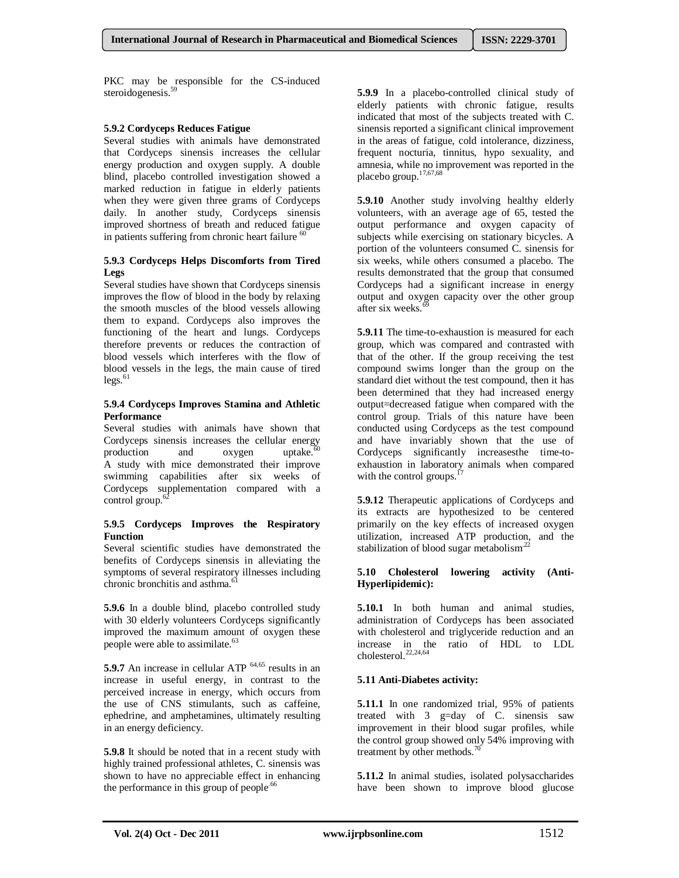PKC may be responsible for the CS-induced steroidogenesis.<sup>59</sup>

#### **5.9.2 Cordyceps Reduces Fatigue**

Several studies with animals have demonstrated that Cordyceps sinensis increases the cellular energy production and oxygen supply. A double blind, placebo controlled investigation showed a marked reduction in fatigue in elderly patients when they were given three grams of Cordyceps daily. In another study, Cordyceps sinensis improved shortness of breath and reduced fatigue in patients suffering from chronic heart failure  $60$ 

#### **5.9.3 Cordyceps Helps Discomforts from Tired Legs**

Several studies have shown that Cordyceps sinensis improves the flow of blood in the body by relaxing the smooth muscles of the blood vessels allowing them to expand. Cordyceps also improves the functioning of the heart and lungs. Cordyceps therefore prevents or reduces the contraction of blood vessels which interferes with the flow of blood vessels in the legs, the main cause of tired  $legs.<sup>61</sup>$ 

#### **5.9.4 Cordyceps Improves Stamina and Athletic Performance**

Several studies with animals have shown that Cordyceps sinensis increases the cellular energy production and oxygen uptake.<sup>6</sup> A study with mice demonstrated their improve swimming capabilities after six weeks of Cordyceps supplementation compared with a control group.<sup>6</sup>

#### **5.9.5 Cordyceps Improves the Respiratory Function**

Several scientific studies have demonstrated the benefits of Cordyceps sinensis in alleviating the symptoms of several respiratory illnesses including chronic bronchitis and asthma.<sup>61</sup>

**5.9.6** In a double blind, placebo controlled study with 30 elderly volunteers Cordyceps significantly improved the maximum amount of oxygen these people were able to assimilate.<sup>63</sup>

**5.9.7** An increase in cellular ATP <sup>64,65</sup> results in an increase in useful energy, in contrast to the perceived increase in energy, which occurs from the use of CNS stimulants, such as caffeine, ephedrine, and amphetamines, ultimately resulting in an energy deficiency.

**5.9.8** It should be noted that in a recent study with highly trained professional athletes, C. sinensis was shown to have no appreciable effect in enhancing the performance in this group of people.<sup>66</sup>

**5.9.9** In a placebo-controlled clinical study of elderly patients with chronic fatigue, results indicated that most of the subjects treated with C. sinensis reported a significant clinical improvement in the areas of fatigue, cold intolerance, dizziness, frequent nocturia, tinnitus, hypo sexuality, and amnesia, while no improvement was reported in the placebo group.<sup>17,67,68</sup>

**5.9.10** Another study involving healthy elderly volunteers, with an average age of 65, tested the output performance and oxygen capacity of subjects while exercising on stationary bicycles. A portion of the volunteers consumed C. sinensis for six weeks, while others consumed a placebo. The results demonstrated that the group that consumed Cordyceps had a significant increase in energy output and oxygen capacity over the other group after six weeks.<sup>6</sup>

**5.9.11** The time-to-exhaustion is measured for each group, which was compared and contrasted with that of the other. If the group receiving the test compound swims longer than the group on the standard diet without the test compound, then it has been determined that they had increased energy output=decreased fatigue when compared with the control group. Trials of this nature have been conducted using Cordyceps as the test compound and have invariably shown that the use of Cordyceps significantly increasesthe time-toexhaustion in laboratory animals when compared with the control groups. $<sup>1</sup>$ </sup>

**5.9.12** Therapeutic applications of Cordyceps and its extracts are hypothesized to be centered primarily on the key effects of increased oxygen utilization, increased ATP production, and the stabilization of blood sugar metabolism $^{22}$ 

#### **5.10 Cholesterol lowering activity (Anti-Hyperlipidemic):**

**5.10.1** In both human and animal studies, administration of Cordyceps has been associated with cholesterol and triglyceride reduction and an increase in the ratio of HDL to LDL cholesterol.<sup>22,24,64</sup>

# **5.11 Anti-Diabetes activity:**

**5.11.1** In one randomized trial, 95% of patients treated with 3 g=day of C. sinensis saw improvement in their blood sugar profiles, while the control group showed only 54% improving with treatment by other methods.<sup>70</sup>

**5.11.2** In animal studies, isolated polysaccharides have been shown to improve blood glucose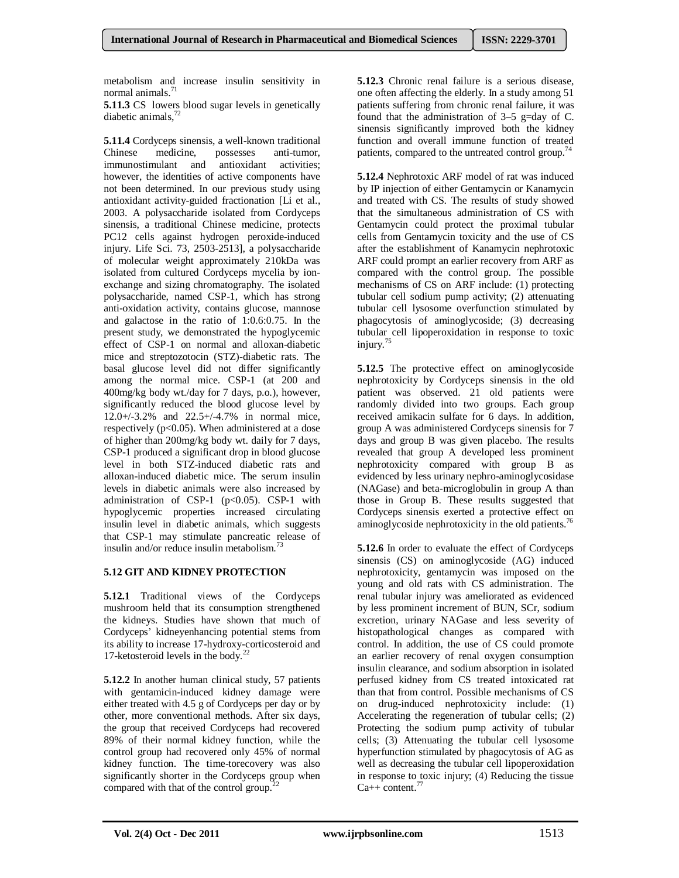metabolism and increase insulin sensitivity in normal animals.<sup>71</sup>

**5.11.3** CS lowers blood sugar levels in genetically diabetic animals,<sup>72</sup>

**5.11.4** Cordyceps sinensis, a well-known traditional Chinese medicine. possesses anti-tumor. Chinese medicine, possesses anti-tumor, immunostimulant and antioxidant activities; however, the identities of active components have not been determined. In our previous study using antioxidant activity-guided fractionation [Li et al., 2003. A polysaccharide isolated from Cordyceps sinensis, a traditional Chinese medicine, protects PC12 cells against hydrogen peroxide-induced injury. Life Sci. 73, 2503-2513], a polysaccharide of molecular weight approximately 210kDa was isolated from cultured Cordyceps mycelia by ionexchange and sizing chromatography. The isolated polysaccharide, named CSP-1, which has strong anti-oxidation activity, contains glucose, mannose and galactose in the ratio of 1:0.6:0.75. In the present study, we demonstrated the hypoglycemic effect of CSP-1 on normal and alloxan-diabetic mice and streptozotocin (STZ)-diabetic rats. The basal glucose level did not differ significantly among the normal mice. CSP-1 (at 200 and 400mg/kg body wt./day for 7 days, p.o.), however, significantly reduced the blood glucose level by 12.0+/-3.2% and 22.5+/-4.7% in normal mice, respectively  $(p<0.05)$ . When administered at a dose of higher than 200mg/kg body wt. daily for 7 days, CSP-1 produced a significant drop in blood glucose level in both STZ-induced diabetic rats and alloxan-induced diabetic mice. The serum insulin levels in diabetic animals were also increased by administration of CSP-1  $(p<0.05)$ . CSP-1 with hypoglycemic properties increased circulating insulin level in diabetic animals, which suggests that CSP-1 may stimulate pancreatic release of insulin and/or reduce insulin metabolism.<sup>73</sup>

# **5.12 GIT AND KIDNEY PROTECTION**

**5.12.1** Traditional views of the Cordyceps mushroom held that its consumption strengthened the kidneys. Studies have shown that much of Cordyceps' kidneyenhancing potential stems from its ability to increase 17-hydroxy-corticosteroid and 17-ketosteroid levels in the body. $^{22}$ 

**5.12.2** In another human clinical study, 57 patients with gentamicin-induced kidney damage were either treated with 4.5 g of Cordyceps per day or by other, more conventional methods. After six days, the group that received Cordyceps had recovered 89% of their normal kidney function, while the control group had recovered only 45% of normal kidney function. The time-torecovery was also significantly shorter in the Cordyceps group when compared with that of the control group.<sup>22</sup>

**5.12.3** Chronic renal failure is a serious disease, one often affecting the elderly. In a study among 51 patients suffering from chronic renal failure, it was found that the administration of 3–5 g=day of C. sinensis significantly improved both the kidney function and overall immune function of treated patients, compared to the untreated control group.<sup>74</sup>

**5.12.4** Nephrotoxic ARF model of rat was induced by IP injection of either Gentamycin or Kanamycin and treated with CS. The results of study showed that the simultaneous administration of CS with Gentamycin could protect the proximal tubular cells from Gentamycin toxicity and the use of CS after the establishment of Kanamycin nephrotoxic ARF could prompt an earlier recovery from ARF as compared with the control group. The possible mechanisms of CS on ARF include: (1) protecting tubular cell sodium pump activity; (2) attenuating tubular cell lysosome overfunction stimulated by phagocytosis of aminoglycoside; (3) decreasing tubular cell lipoperoxidation in response to toxic injury.<sup>75</sup>

**5.12.5** The protective effect on aminoglycoside nephrotoxicity by Cordyceps sinensis in the old patient was observed. 21 old patients were randomly divided into two groups. Each group received amikacin sulfate for 6 days. In addition, group A was administered Cordyceps sinensis for 7 days and group B was given placebo. The results revealed that group A developed less prominent nephrotoxicity compared with group B as evidenced by less urinary nephro-aminoglycosidase (NAGase) and beta-microglobulin in group A than those in Group B. These results suggested that Cordyceps sinensis exerted a protective effect on aminoglycoside nephrotoxicity in the old patients.<sup>76</sup>

**5.12.6** In order to evaluate the effect of Cordyceps sinensis (CS) on aminoglycoside (AG) induced nephrotoxicity, gentamycin was imposed on the young and old rats with CS administration. The renal tubular injury was ameliorated as evidenced by less prominent increment of BUN, SCr, sodium excretion, urinary NAGase and less severity of histopathological changes as compared with control. In addition, the use of CS could promote an earlier recovery of renal oxygen consumption insulin clearance, and sodium absorption in isolated perfused kidney from CS treated intoxicated rat than that from control. Possible mechanisms of CS on drug-induced nephrotoxicity include: (1) Accelerating the regeneration of tubular cells; (2) Protecting the sodium pump activity of tubular cells; (3) Attenuating the tubular cell lysosome hyperfunction stimulated by phagocytosis of AG as well as decreasing the tubular cell lipoperoxidation in response to toxic injury; (4) Reducing the tissue  $Ca++$  content.<sup>77</sup>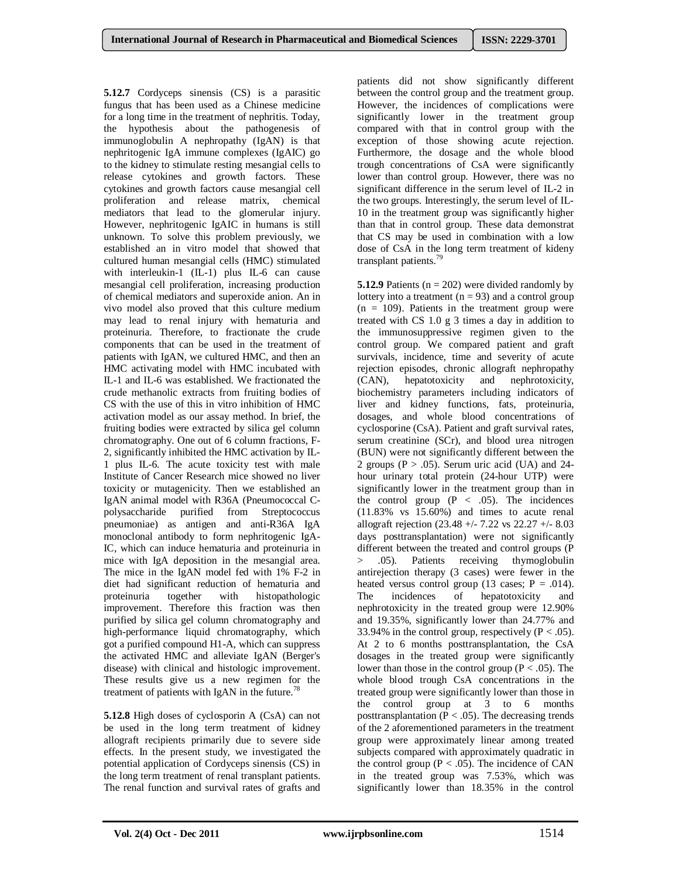**5.12.7** Cordyceps sinensis (CS) is a parasitic fungus that has been used as a Chinese medicine for a long time in the treatment of nephritis. Today, the hypothesis about the pathogenesis of immunoglobulin A nephropathy (IgAN) is that nephritogenic IgA immune complexes (IgAIC) go to the kidney to stimulate resting mesangial cells to release cytokines and growth factors. These cytokines and growth factors cause mesangial cell proliferation and release matrix, chemical mediators that lead to the glomerular injury. However, nephritogenic IgAIC in humans is still unknown. To solve this problem previously, we established an in vitro model that showed that cultured human mesangial cells (HMC) stimulated with interleukin-1 (IL-1) plus IL-6 can cause mesangial cell proliferation, increasing production of chemical mediators and superoxide anion. An in vivo model also proved that this culture medium may lead to renal injury with hematuria and proteinuria. Therefore, to fractionate the crude components that can be used in the treatment of patients with IgAN, we cultured HMC, and then an HMC activating model with HMC incubated with IL-1 and IL-6 was established. We fractionated the crude methanolic extracts from fruiting bodies of CS with the use of this in vitro inhibition of HMC activation model as our assay method. In brief, the fruiting bodies were extracted by silica gel column chromatography. One out of 6 column fractions, F-2, significantly inhibited the HMC activation by IL-1 plus IL-6. The acute toxicity test with male Institute of Cancer Research mice showed no liver toxicity or mutagenicity. Then we established an IgAN animal model with R36A (Pneumococcal Cpolysaccharide purified from Streptococcus pneumoniae) as antigen and anti-R36A IgA monoclonal antibody to form nephritogenic IgA-IC, which can induce hematuria and proteinuria in mice with IgA deposition in the mesangial area. The mice in the IgAN model fed with 1% F-2 in diet had significant reduction of hematuria and proteinuria together with histopathologic improvement. Therefore this fraction was then purified by silica gel column chromatography and high-performance liquid chromatography, which got a purified compound H1-A, which can suppress the activated HMC and alleviate IgAN (Berger's disease) with clinical and histologic improvement. These results give us a new regimen for the treatment of patients with IgAN in the future.<sup>78</sup>

**5.12.8** High doses of cyclosporin A (CsA) can not be used in the long term treatment of kidney allograft recipients primarily due to severe side effects. In the present study, we investigated the potential application of Cordyceps sinensis (CS) in the long term treatment of renal transplant patients. The renal function and survival rates of grafts and patients did not show significantly different between the control group and the treatment group. However, the incidences of complications were significantly lower in the treatment group compared with that in control group with the exception of those showing acute rejection. Furthermore, the dosage and the whole blood trough concentrations of CsA were significantly lower than control group. However, there was no significant difference in the serum level of IL-2 in the two groups. Interestingly, the serum level of IL-10 in the treatment group was significantly higher than that in control group. These data demonstrat that CS may be used in combination with a low dose of CsA in the long term treatment of kideny transplant patients.<sup>79</sup>

**5.12.9** Patients ( $n = 202$ ) were divided randomly by lottery into a treatment  $(n = 93)$  and a control group  $(n = 109)$ . Patients in the treatment group were treated with CS 1.0 g 3 times a day in addition to the immunosuppressive regimen given to the control group. We compared patient and graft survivals, incidence, time and severity of acute rejection episodes, chronic allograft nephropathy (CAN), hepatotoxicity and nephrotoxicity, biochemistry parameters including indicators of liver and kidney functions, fats, proteinuria, dosages, and whole blood concentrations of cyclosporine (CsA). Patient and graft survival rates, serum creatinine (SCr), and blood urea nitrogen (BUN) were not significantly different between the 2 groups ( $P > .05$ ). Serum uric acid (UA) and 24hour urinary total protein (24-hour UTP) were significantly lower in the treatment group than in the control group  $(P < .05)$ . The incidences (11.83% vs 15.60%) and times to acute renal allograft rejection (23.48 +/- 7.22 vs 22.27 +/- 8.03 days posttransplantation) were not significantly different between the treated and control groups (P > .05). Patients receiving thymoglobulin antirejection therapy (3 cases) were fewer in the heated versus control group (13 cases;  $P = .014$ ).<br>The incidences of hepatotoxicity and The incidences of hepatotoxicity and nephrotoxicity in the treated group were 12.90% and 19.35%, significantly lower than 24.77% and 33.94% in the control group, respectively ( $P < .05$ ). At 2 to 6 months posttransplantation, the CsA dosages in the treated group were significantly lower than those in the control group ( $P < .05$ ). The whole blood trough CsA concentrations in the treated group were significantly lower than those in the control group at 3 to 6 months posttransplantation ( $\overline{P}$  < .05). The decreasing trends of the 2 aforementioned parameters in the treatment group were approximately linear among treated subjects compared with approximately quadratic in the control group ( $P < .05$ ). The incidence of CAN in the treated group was 7.53%, which was significantly lower than 18.35% in the control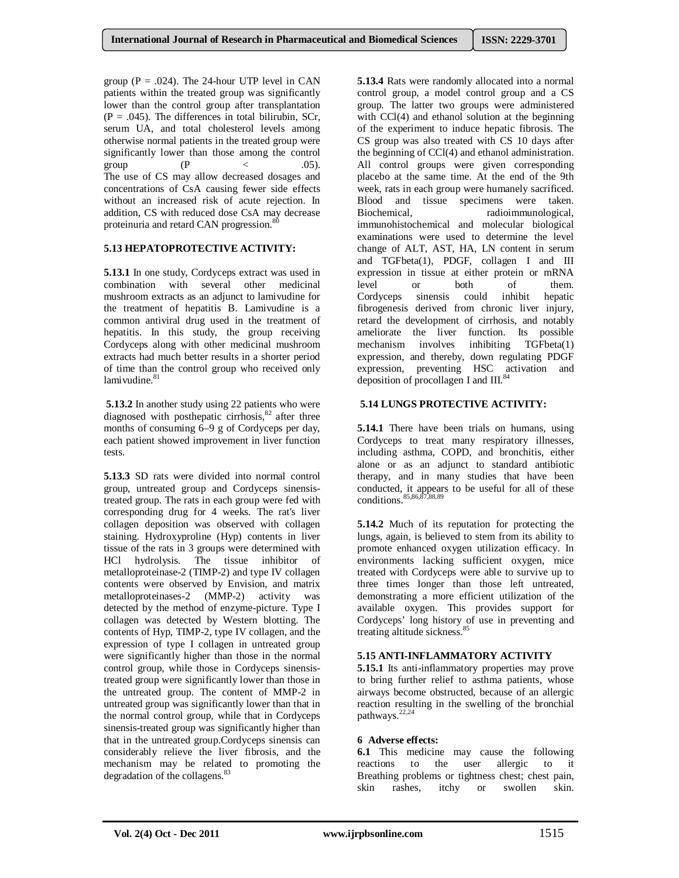group ( $P = .024$ ). The 24-hour UTP level in CAN patients within the treated group was significantly lower than the control group after transplantation  $(P = .045)$ . The differences in total bilirubin, SCr, serum UA, and total cholesterol levels among otherwise normal patients in the treated group were significantly lower than those among the control group (P < .05). The use of CS may allow decreased dosages and concentrations of CsA causing fewer side effects without an increased risk of acute rejection. In addition, CS with reduced dose CsA may decrease proteinuria and retard CAN progression.<sup>8</sup>

# **5.13 HEPATOPROTECTIVE ACTIVITY:**

**5.13.1** In one study, Cordyceps extract was used in combination with several other medicinal mushroom extracts as an adjunct to lamivudine for the treatment of hepatitis B. Lamivudine is a common antiviral drug used in the treatment of hepatitis. In this study, the group receiving Cordyceps along with other medicinal mushroom extracts had much better results in a shorter period of time than the control group who received only lamivudine. 81

**5.13.2** In another study using 22 patients who were diagnosed with posthepatic cirrhosis,<sup>82</sup> after three months of consuming 6–9 g of Cordyceps per day, each patient showed improvement in liver function tests.

**5.13.3** SD rats were divided into normal control group, untreated group and Cordyceps sinensistreated group. The rats in each group were fed with corresponding drug for 4 weeks. The rat's liver collagen deposition was observed with collagen staining. Hydroxyproline (Hyp) contents in liver tissue of the rats in 3 groups were determined with HCl hydrolysis. The tissue inhibitor of metalloproteinase-2 (TIMP-2) and type IV collagen contents were observed by Envision, and matrix metalloproteinases-2 (MMP-2) activity was detected by the method of enzyme-picture. Type I collagen was detected by Western blotting. The contents of Hyp, TIMP-2, type IV collagen, and the expression of type I collagen in untreated group were significantly higher than those in the normal control group, while those in Cordyceps sinensistreated group were significantly lower than those in the untreated group. The content of MMP-2 in untreated group was significantly lower than that in the normal control group, while that in Cordyceps sinensis-treated group was significantly higher than that in the untreated group.Cordyceps sinensis can considerably relieve the liver fibrosis, and the mechanism may be related to promoting the degradation of the collagens.<sup>83</sup>

**5.13.4** Rats were randomly allocated into a normal control group, a model control group and a CS group. The latter two groups were administered with CCl(4) and ethanol solution at the beginning of the experiment to induce hepatic fibrosis. The CS group was also treated with CS 10 days after the beginning of CCl(4) and ethanol administration. All control groups were given corresponding placebo at the same time. At the end of the 9th week, rats in each group were humanely sacrificed. Blood and tissue specimens were taken.<br>Biochemical. radioimmunological. radioimmunological, immunohistochemical and molecular biological examinations were used to determine the level change of ALT, AST, HA, LN content in serum and TGFbeta(1), PDGF, collagen I and III expression in tissue at either protein or mRNA level or both of them. Cordyceps sinensis could inhibit hepatic fibrogenesis derived from chronic liver injury, retard the development of cirrhosis, and notably ameliorate the liver function. Its possible mechanism involves inhibiting TGFbeta(1) expression, and thereby, down regulating PDGF expression, preventing HSC activation and deposition of procollagen I and  $III.^{84}$ 

# **5.14 LUNGS PROTECTIVE ACTIVITY:**

**5.14.1** There have been trials on humans, using Cordyceps to treat many respiratory illnesses, including asthma, COPD, and bronchitis, either alone or as an adjunct to standard antibiotic therapy, and in many studies that have been conducted, it appears to be useful for all of these conditions.85,86,87,88,89

**5.14.2** Much of its reputation for protecting the lungs, again, is believed to stem from its ability to promote enhanced oxygen utilization efficacy. In environments lacking sufficient oxygen, mice treated with Cordyceps were able to survive up to three times longer than those left untreated, demonstrating a more efficient utilization of the available oxygen. This provides support for Cordyceps' long history of use in preventing and treating altitude sickness.<sup>85</sup>

# **5.15 ANTI-INFLAMMATORY ACTIVITY**

**5.15.1** Its anti-inflammatory properties may prove to bring further relief to asthma patients, whose airways become obstructed, because of an allergic reaction resulting in the swelling of the bronchial pathways.<sup>22,24</sup>

# **6 Adverse effects:**

**6.1** This medicine may cause the following reactions to the user allergic to it Breathing problems or tightness chest; chest pain, skin rashes, itchy or swollen skin.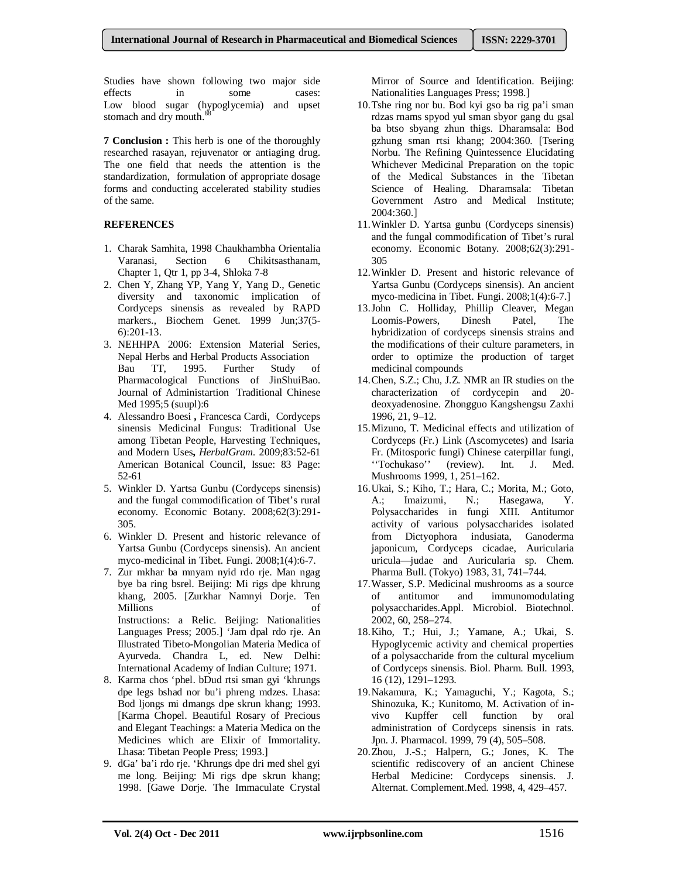Studies have shown following two major side effects in some cases: Low blood sugar (hypoglycemia) and upset stomach and dry mouth.<sup>88</sup>

**7 Conclusion :** This herb is one of the thoroughly researched rasayan, rejuvenator or antiaging drug. The one field that needs the attention is the standardization, formulation of appropriate dosage forms and conducting accelerated stability studies of the same.

# **REFERENCES**

- 1. Charak Samhita, 1998 Chaukhambha Orientalia Varanasi, Section 6 Chikitsasthanam, Chapter 1, Qtr 1, pp 3-4, Shloka 7-8
- 2. Chen Y, Zhang YP, Yang Y, Yang D., Genetic diversity and taxonomic implication of Cordyceps sinensis as revealed by RAPD markers., Biochem Genet. 1999 Jun;37(5- 6):201-13.
- 3. NEHHPA 2006: Extension Material Series, Nepal Herbs and Herbal Products Association Bau TT, 1995. Further Study of Pharmacological Functions of JinShuiBao. Journal of Administartion Traditional Chinese Med 1995;5 (suupl):6
- 4. Alessandro Boesi **,** Francesca Cardi, Cordyceps sinensis Medicinal Fungus: Traditional Use among Tibetan People, Harvesting Techniques, and Modern Uses**,** *HerbalGram*. 2009;83:52-61 American Botanical Council, Issue: 83 Page: 52-61
- 5. Winkler D. Yartsa Gunbu (Cordyceps sinensis) and the fungal commodification of Tibet's rural economy. Economic Botany. 2008;62(3):291- 305.
- 6. Winkler D. Present and historic relevance of Yartsa Gunbu (Cordyceps sinensis). An ancient myco-medicinal in Tibet. Fungi. 2008;1(4):6-7.
- 7. Zur mkhar ba mnyam nyid rdo rje. Man ngag bye ba ring bsrel. Beijing: Mi rigs dpe khrung khang, 2005. [Zurkhar Namnyi Dorje. Ten Millions of Instructions: a Relic. Beijing: Nationalities Languages Press; 2005.] 'Jam dpal rdo rje. An Illustrated Tibeto-Mongolian Materia Medica of Ayurveda. Chandra L, ed. New Delhi: International Academy of Indian Culture; 1971.
- 8. Karma chos 'phel. bDud rtsi sman gyi 'khrungs dpe legs bshad nor bu'i phreng mdzes. Lhasa: Bod ljongs mi dmangs dpe skrun khang; 1993. [Karma Chopel. Beautiful Rosary of Precious and Elegant Teachings: a Materia Medica on the Medicines which are Elixir of Immortality. Lhasa: Tibetan People Press; 1993.]
- 9. dGa' ba'i rdo rje. 'Khrungs dpe dri med shel gyi me long. Beijing: Mi rigs dpe skrun khang; 1998. [Gawe Dorje. The Immaculate Crystal

Mirror of Source and Identification. Beijing: Nationalities Languages Press; 1998.]

- 10.Tshe ring nor bu. Bod kyi gso ba rig pa'i sman rdzas rnams spyod yul sman sbyor gang du gsal ba btso sbyang zhun thigs. Dharamsala: Bod gzhung sman rtsi khang; 2004:360. [Tsering Norbu. The Refining Quintessence Elucidating Whichever Medicinal Preparation on the topic of the Medical Substances in the Tibetan Science of Healing. Dharamsala: Tibetan Government Astro and Medical Institute; 2004:360.]
- 11.Winkler D. Yartsa gunbu (Cordyceps sinensis) and the fungal commodification of Tibet's rural economy. Economic Botany. 2008;62(3):291- 305
- 12.Winkler D. Present and historic relevance of Yartsa Gunbu (Cordyceps sinensis). An ancient myco-medicina in Tibet. Fungi. 2008;1(4):6-7.]
- 13.John C. Holliday, Phillip Cleaver, Megan<br>Loomis-Powers. Dinesh Patel. The Loomis-Powers, Dinesh Patel, The hybridization of cordyceps sinensis strains and the modifications of their culture parameters, in order to optimize the production of target medicinal compounds
- 14.Chen, S.Z.; Chu, J.Z. NMR an IR studies on the characterization of cordycepin and 20 deoxyadenosine. Zhongguo Kangshengsu Zaxhi 1996, 21, 9–12.
- 15.Mizuno, T. Medicinal effects and utilization of Cordyceps (Fr.) Link (Ascomycetes) and Isaria Fr. (Mitosporic fungi) Chinese caterpillar fungi, ''Tochukaso'' (review). Int. J. Med. Mushrooms 1999, 1, 251–162.
- 16.Ukai, S.; Kiho, T.; Hara, C.; Morita, M.; Goto, A.; Imaizumi, N.; Hasegawa, Y. Polysaccharides in fungi XIII. Antitumor activity of various polysaccharides isolated from Dictyophora indusiata, Ganoderma japonicum, Cordyceps cicadae, Auricularia uricula—judae and Auricularia sp. Chem. Pharma Bull. (Tokyo) 1983, 31, 741–744.
- 17.Wasser, S.P. Medicinal mushrooms as a source of antitumor and immunomodulating polysaccharides.Appl. Microbiol. Biotechnol. 2002, 60, 258–274.
- 18.Kiho, T.; Hui, J.; Yamane, A.; Ukai, S. Hypoglycemic activity and chemical properties of a polysaccharide from the cultural mycelium of Cordyceps sinensis. Biol. Pharm. Bull. 1993, 16 (12), 1291–1293.
- 19.Nakamura, K.; Yamaguchi, Y.; Kagota, S.; Shinozuka, K.; Kunitomo, M. Activation of invivo Kupffer cell function by oral administration of Cordyceps sinensis in rats. Jpn. J. Pharmacol. 1999, 79 (4), 505–508.
- 20.Zhou, J.-S.; Halpern, G.; Jones, K. The scientific rediscovery of an ancient Chinese Herbal Medicine: Cordyceps sinensis. J. Alternat. Complement.Med. 1998, 4, 429–457.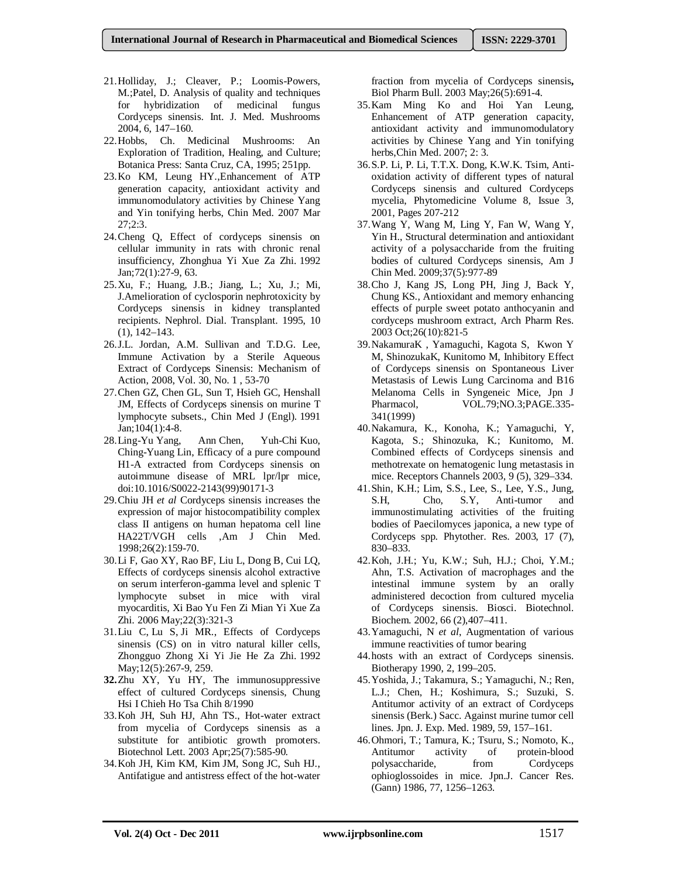- 21.Holliday, J.; Cleaver, P.; Loomis-Powers, M.;Patel, D. Analysis of quality and techniques for hybridization of medicinal fungus Cordyceps sinensis. Int. J. Med. Mushrooms 2004, 6, 147–160.
- 22.Hobbs, Ch. Medicinal Mushrooms: An Exploration of Tradition, Healing, and Culture; Botanica Press: Santa Cruz, CA, 1995; 251pp.
- 23.Ko KM, Leung HY.,Enhancement of ATP generation capacity, antioxidant activity and immunomodulatory activities by Chinese Yang and Yin tonifying herbs, Chin Med. 2007 Mar 27;2:3.
- 24.Cheng Q, Effect of cordyceps sinensis on cellular immunity in rats with chronic renal insufficiency, Zhonghua Yi Xue Za Zhi. 1992 Jan;72(1):27-9, 63.
- 25.Xu, F.; Huang, J.B.; Jiang, L.; Xu, J.; Mi, J.Amelioration of cyclosporin nephrotoxicity by Cordyceps sinensis in kidney transplanted recipients. Nephrol. Dial. Transplant. 1995, 10 (1), 142–143.
- 26.J.L. Jordan, A.M. Sullivan and T.D.G. Lee, Immune Activation by a Sterile Aqueous Extract of Cordyceps Sinensis: Mechanism of Action, 2008, Vol. 30, No. 1 , 53-70
- 27.Chen GZ, Chen GL, Sun T, Hsieh GC, Henshall JM, Effects of Cordyceps sinensis on murine T lymphocyte subsets., Chin Med J (Engl). 1991 Jan;104(1):4-8.
- 28.Ling-Yu Yang, Ann Chen, Yuh-Chi Kuo, Ching-Yuang Lin, Efficacy of a pure compound H1-A extracted from Cordyceps sinensis on autoimmune disease of MRL lpr/lpr mice, doi:10.1016/S0022-2143(99)90171-3
- 29.Chiu JH *et al* Cordyceps sinensis increases the expression of major histocompatibility complex class II antigens on human hepatoma cell line HA22T/VGH cells ,Am J Chin Med. 1998;26(2):159-70.
- 30.Li F, Gao XY, Rao BF, Liu L, Dong B, Cui LQ, Effects of cordyceps sinensis alcohol extractive on serum interferon-gamma level and splenic T lymphocyte subset in mice with viral myocarditis, Xi Bao Yu Fen Zi Mian Yi Xue Za Zhi. 2006 May;22(3):321-3
- 31.Liu C, Lu S, Ji MR., Effects of Cordyceps sinensis (CS) on in vitro natural killer cells, Zhongguo Zhong Xi Yi Jie He Za Zhi. 1992 May;12(5):267-9, 259.
- **32.**Zhu XY, Yu HY, The immunosuppressive effect of cultured Cordyceps sinensis, Chung Hsi I Chieh Ho Tsa Chih 8/1990
- 33.Koh JH, Suh HJ, Ahn TS., Hot-water extract from mycelia of Cordyceps sinensis as a substitute for antibiotic growth promoters. Biotechnol Lett. 2003 Apr;25(7):585-90.
- 34.Koh JH, Kim KM, Kim JM, Song JC, Suh HJ., Antifatigue and antistress effect of the hot-water

fraction from mycelia of Cordyceps sinensis**,**  Biol Pharm Bull. 2003 May;26(5):691-4.

- 35.Kam Ming Ko and Hoi Yan Leung, Enhancement of ATP generation capacity, antioxidant activity and immunomodulatory activities by Chinese Yang and Yin tonifying herbs,Chin Med. 2007; 2: 3.
- 36.S.P. Li, P. Li, T.T.X. Dong, K.W.K. Tsim, Antioxidation activity of different types of natural Cordyceps sinensis and cultured Cordyceps mycelia, Phytomedicine Volume 8, Issue 3, 2001, Pages 207-212
- 37.Wang Y, Wang M, Ling Y, Fan W, Wang Y, Yin H., Structural determination and antioxidant activity of a polysaccharide from the fruiting bodies of cultured Cordyceps sinensis, Am J Chin Med. 2009;37(5):977-89
- 38.Cho J, Kang JS, Long PH, Jing J, Back Y, Chung KS., Antioxidant and memory enhancing effects of purple sweet potato anthocyanin and cordyceps mushroom extract, Arch Pharm Res. 2003 Oct;26(10):821-5
- 39.NakamuraK , Yamaguchi, Kagota S, Kwon Y M, ShinozukaK, Kunitomo M, Inhibitory Effect of Cordyceps sinensis on Spontaneous Liver Metastasis of Lewis Lung Carcinoma and B16 Melanoma Cells in Syngeneic Mice, Jpn J Pharmacol,  $VOL.79; NO.3; PAGE.335-$ 341(1999)
- 40.Nakamura, K., Konoha, K.; Yamaguchi, Y, Kagota, S.; Shinozuka, K.; Kunitomo, M. Combined effects of Cordyceps sinensis and methotrexate on hematogenic lung metastasis in mice. Receptors Channels 2003, 9 (5), 329–334.
- 41.Shin, K.H.; Lim, S.S., Lee, S., Lee, Y.S., Jung, S.H, Cho, S.Y, Anti-tumor and immunostimulating activities of the fruiting bodies of Paecilomyces japonica, a new type of Cordyceps spp. Phytother. Res. 2003, 17 (7), 830–833.
- 42.Koh, J.H.; Yu, K.W.; Suh, H.J.; Choi, Y.M.; Ahn, T.S. Activation of macrophages and the intestinal immune system by an orally administered decoction from cultured mycelia of Cordyceps sinensis. Biosci. Biotechnol. Biochem. 2002, 66 (2),407–411.
- 43.Yamaguchi, N *et al*, Augmentation of various immune reactivities of tumor bearing
- 44.hosts with an extract of Cordyceps sinensis. Biotherapy 1990, 2, 199–205.
- 45.Yoshida, J.; Takamura, S.; Yamaguchi, N.; Ren, L.J.; Chen, H.; Koshimura, S.; Suzuki, S. Antitumor activity of an extract of Cordyceps sinensis (Berk.) Sacc. Against murine tumor cell lines. Jpn. J. Exp. Med. 1989, 59, 157–161.
- 46.Ohmori, T.; Tamura, K.; Tsuru, S.; Nomoto, K., Antitumor activity of protein-blood polysaccharide, from Cordyceps ophioglossoides in mice. Jpn.J. Cancer Res. (Gann) 1986, 77, 1256–1263.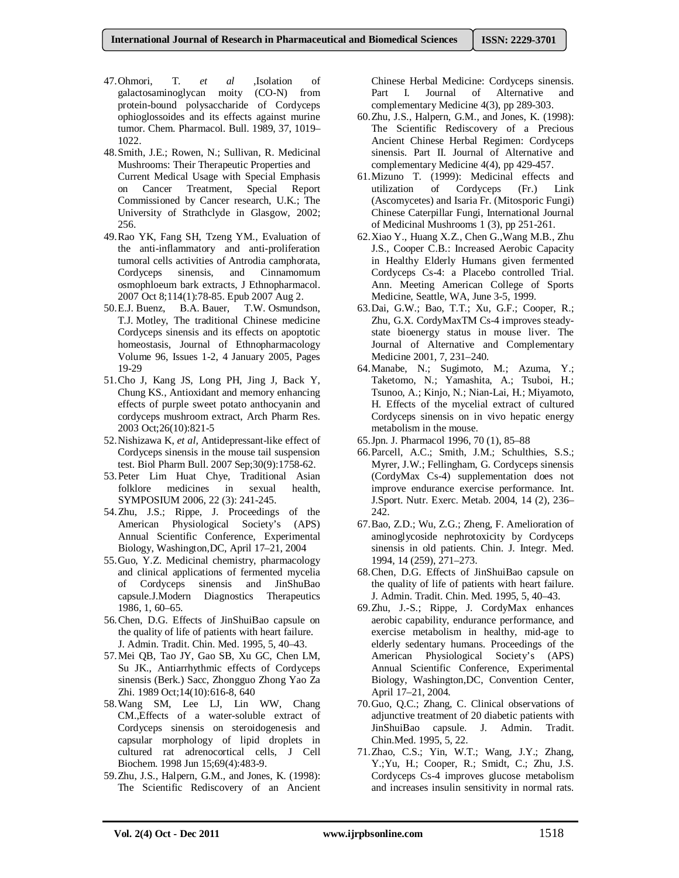- 47.Ohmori, T. *et al* ,Isolation of galactosaminoglycan moity (CO-N) from protein-bound polysaccharide of Cordyceps ophioglossoides and its effects against murine tumor. Chem. Pharmacol. Bull. 1989, 37, 1019– 1022.
- 48.Smith, J.E.; Rowen, N.; Sullivan, R. Medicinal Mushrooms: Their Therapeutic Properties and Current Medical Usage with Special Emphasis on Cancer Treatment, Special Report Commissioned by Cancer research, U.K.; The University of Strathclyde in Glasgow, 2002; 256.
- 49.Rao YK, Fang SH, Tzeng YM., Evaluation of the anti-inflammatory and anti-proliferation tumoral cells activities of Antrodia camphorata, Cordyceps sinensis, and Cinnamomum osmophloeum bark extracts, J Ethnopharmacol. 2007 Oct 8;114(1):78-85. Epub 2007 Aug 2.
- 50.E.J. Buenz, B.A. Bauer, T.W. Osmundson, T.J. Motley, The traditional Chinese medicine Cordyceps sinensis and its effects on apoptotic homeostasis, Journal of Ethnopharmacology Volume 96, Issues 1-2, 4 January 2005, Pages 19-29
- 51.Cho J, Kang JS, Long PH, Jing J, Back Y, Chung KS., Antioxidant and memory enhancing effects of purple sweet potato anthocyanin and cordyceps mushroom extract, Arch Pharm Res. 2003 Oct;26(10):821-5
- 52.Nishizawa K, *et al,* Antidepressant-like effect of Cordyceps sinensis in the mouse tail suspension test. Biol Pharm Bull. 2007 Sep;30(9):1758-62.
- 53.Peter Lim Huat Chye, Traditional Asian folklore medicines in sexual health, SYMPOSIUM 2006, 22 (3): 241-245.
- 54.Zhu, J.S.; Rippe, J. Proceedings of the American Physiological Society's (APS) Annual Scientific Conference, Experimental Biology, Washington,DC, April 17–21, 2004
- 55.Guo, Y.Z. Medicinal chemistry, pharmacology and clinical applications of fermented mycelia of Cordyceps sinensis and JinShuBao capsule.J.Modern Diagnostics Therapeutics 1986, 1, 60–65.
- 56.Chen, D.G. Effects of JinShuiBao capsule on the quality of life of patients with heart failure. J. Admin. Tradit. Chin. Med. 1995, 5, 40–43.
- 57.Mei QB, Tao JY, Gao SB, Xu GC, Chen LM, Su JK., Antiarrhythmic effects of Cordyceps sinensis (Berk.) Sacc, Zhongguo Zhong Yao Za Zhi. 1989 Oct;14(10):616-8, 640
- 58.Wang SM, Lee LJ, Lin WW, Chang CM.,Effects of a water-soluble extract of Cordyceps sinensis on steroidogenesis and capsular morphology of lipid droplets in cultured rat adrenocortical cells, J Cell Biochem. 1998 Jun 15;69(4):483-9.
- 59.Zhu, J.S., Halpern, G.M., and Jones, K. (1998): The Scientific Rediscovery of an Ancient

Chinese Herbal Medicine: Cordyceps sinensis. Part I. Journal of Alternative and complementary Medicine 4(3), pp 289-303.

- 60.Zhu, J.S., Halpern, G.M., and Jones, K. (1998): The Scientific Rediscovery of a Precious Ancient Chinese Herbal Regimen: Cordyceps sinensis. Part II. Journal of Alternative and complementary Medicine 4(4), pp 429-457.
- 61.Mizuno T. (1999): Medicinal effects and Cordyceps (Fr.) Link (Ascomycetes) and Isaria Fr. (Mitosporic Fungi) Chinese Caterpillar Fungi, International Journal of Medicinal Mushrooms 1 (3), pp 251-261.
- 62.Xiao Y., Huang X.Z., Chen G.,Wang M.B., Zhu J.S., Cooper C.B.: Increased Aerobic Capacity in Healthy Elderly Humans given fermented Cordyceps Cs-4: a Placebo controlled Trial. Ann. Meeting American College of Sports Medicine, Seattle, WA, June 3-5, 1999.
- 63.Dai, G.W.; Bao, T.T.; Xu, G.F.; Cooper, R.; Zhu, G.X. CordyMaxTM Cs-4 improves steadystate bioenergy status in mouse liver. The Journal of Alternative and Complementary Medicine 2001, 7, 231–240.
- 64.Manabe, N.; Sugimoto, M.; Azuma, Y.; Taketomo, N.; Yamashita, A.; Tsuboi, H.; Tsunoo, A.; Kinjo, N.; Nian-Lai, H.; Miyamoto, H. Effects of the mycelial extract of cultured Cordyceps sinensis on in vivo hepatic energy metabolism in the mouse.
- 65.Jpn. J. Pharmacol 1996, 70 (1), 85–88
- 66.Parcell, A.C.; Smith, J.M.; Schulthies, S.S.; Myrer, J.W.; Fellingham, G. Cordyceps sinensis (CordyMax Cs-4) supplementation does not improve endurance exercise performance. Int. J.Sport. Nutr. Exerc. Metab. 2004, 14 (2), 236– 242.
- 67.Bao, Z.D.; Wu, Z.G.; Zheng, F. Amelioration of aminoglycoside nephrotoxicity by Cordyceps sinensis in old patients. Chin. J. Integr. Med. 1994, 14 (259), 271–273.
- 68.Chen, D.G. Effects of JinShuiBao capsule on the quality of life of patients with heart failure. J. Admin. Tradit. Chin. Med. 1995, 5, 40–43.
- 69.Zhu, J.-S.; Rippe, J. CordyMax enhances aerobic capability, endurance performance, and exercise metabolism in healthy, mid-age to elderly sedentary humans. Proceedings of the American Physiological Society's (APS) Annual Scientific Conference, Experimental Biology, Washington,DC, Convention Center, April 17–21, 2004.
- 70.Guo, Q.C.; Zhang, C. Clinical observations of adjunctive treatment of 20 diabetic patients with JinShuiBao capsule. J. Admin. Tradit. Chin.Med. 1995, 5, 22.
- 71.Zhao, C.S.; Yin, W.T.; Wang, J.Y.; Zhang, Y.;Yu, H.; Cooper, R.; Smidt, C.; Zhu, J.S. Cordyceps Cs-4 improves glucose metabolism and increases insulin sensitivity in normal rats.